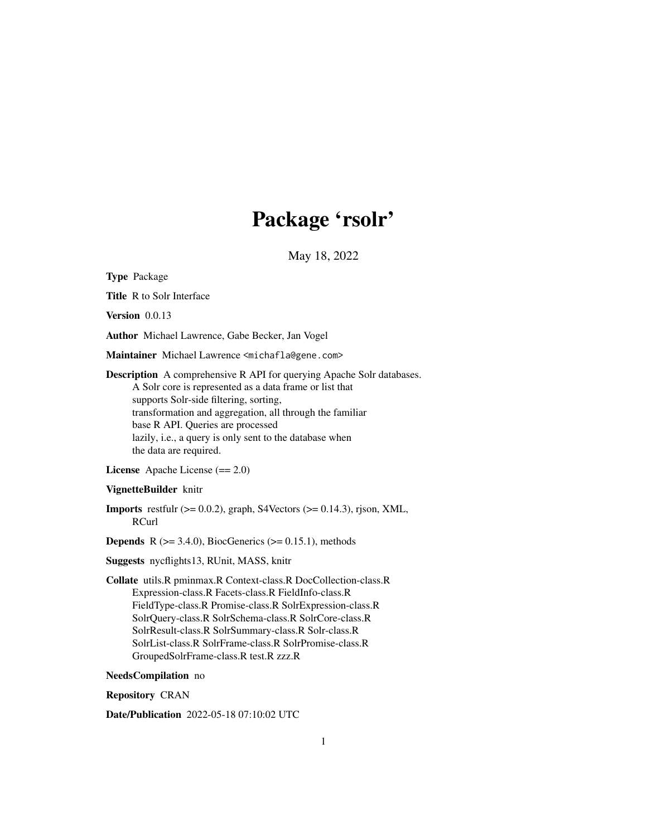## Package 'rsolr'

May 18, 2022

<span id="page-0-0"></span>Type Package

Title R to Solr Interface

Version 0.0.13

Author Michael Lawrence, Gabe Becker, Jan Vogel

Maintainer Michael Lawrence <michafla@gene.com>

Description A comprehensive R API for querying Apache Solr databases. A Solr core is represented as a data frame or list that supports Solr-side filtering, sorting, transformation and aggregation, all through the familiar base R API. Queries are processed lazily, i.e., a query is only sent to the database when the data are required.

License Apache License (== 2.0)

### VignetteBuilder knitr

**Imports** restfulr  $(>= 0.0.2)$ , graph, S4Vectors  $(>= 0.14.3)$ , rjson, XML, RCurl

**Depends** R  $(>= 3.4.0)$ , BiocGenerics  $(>= 0.15.1)$ , methods

Suggests nycflights13, RUnit, MASS, knitr

Collate utils.R pminmax.R Context-class.R DocCollection-class.R Expression-class.R Facets-class.R FieldInfo-class.R FieldType-class.R Promise-class.R SolrExpression-class.R SolrQuery-class.R SolrSchema-class.R SolrCore-class.R SolrResult-class.R SolrSummary-class.R Solr-class.R SolrList-class.R SolrFrame-class.R SolrPromise-class.R GroupedSolrFrame-class.R test.R zzz.R

NeedsCompilation no

Repository CRAN

Date/Publication 2022-05-18 07:10:02 UTC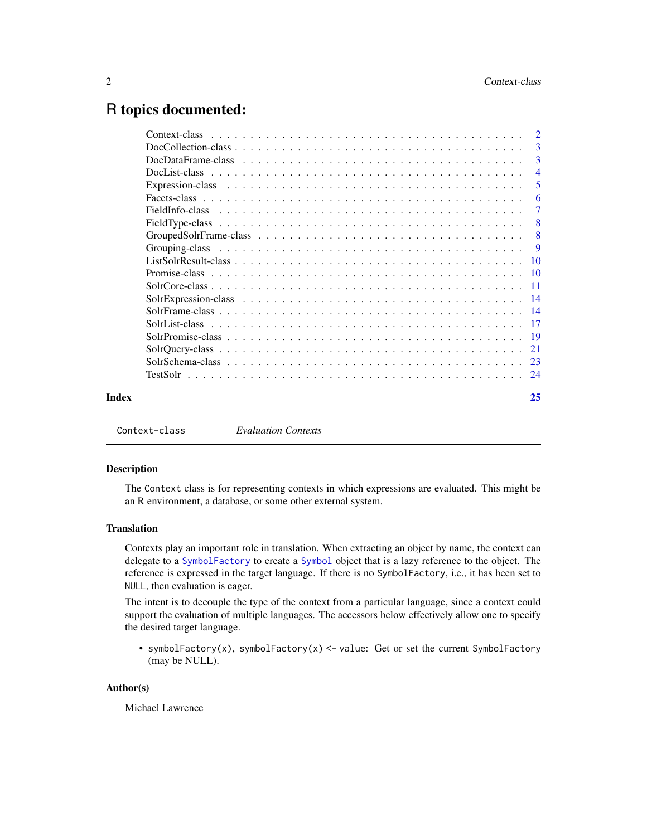## <span id="page-1-0"></span>R topics documented:

|       | $\overline{2}$ |
|-------|----------------|
|       | 3              |
|       | 3              |
|       | $\overline{4}$ |
|       | 5              |
|       | 6              |
|       | 7              |
|       | - 8            |
|       | -8             |
|       | $\mathbf{Q}$   |
|       |                |
|       |                |
|       |                |
|       |                |
|       |                |
|       |                |
|       |                |
|       |                |
|       |                |
|       |                |
| Index | 25             |
|       |                |

Context-class *Evaluation Contexts*

### Description

The Context class is for representing contexts in which expressions are evaluated. This might be an R environment, a database, or some other external system.

### **Translation**

Contexts play an important role in translation. When extracting an object by name, the context can delegate to a [SymbolFactory](#page-4-1) to create a [Symbol](#page-4-1) object that is a lazy reference to the object. The reference is expressed in the target language. If there is no SymbolFactory, i.e., it has been set to NULL, then evaluation is eager.

The intent is to decouple the type of the context from a particular language, since a context could support the evaluation of multiple languages. The accessors below effectively allow one to specify the desired target language.

• symbolFactory(x), symbolFactory(x) <- value: Get or set the current SymbolFactory (may be NULL).

### Author(s)

Michael Lawrence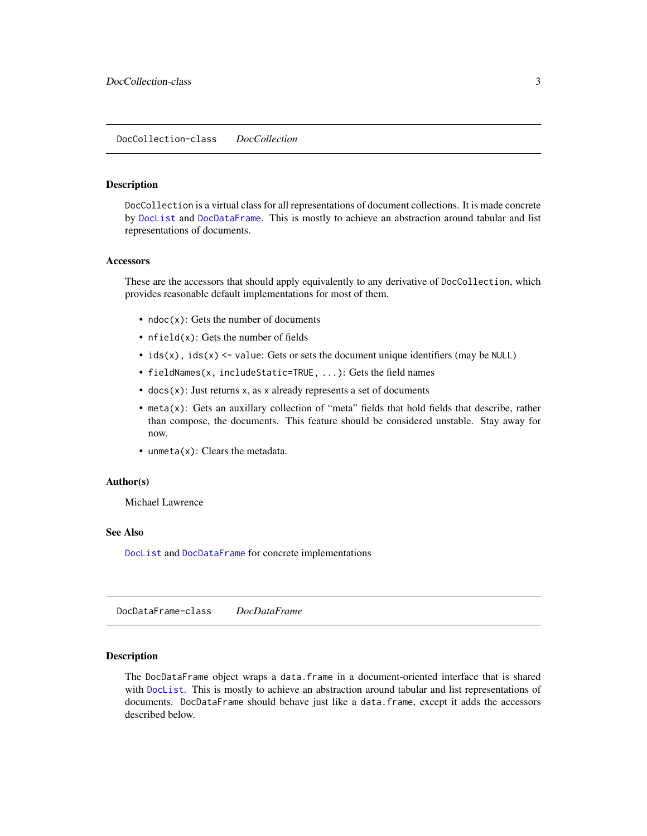### <span id="page-2-2"></span><span id="page-2-0"></span>Description

DocCollection is a virtual class for all representations of document collections. It is made concrete by [DocList](#page-3-1) and [DocDataFrame](#page-2-1). This is mostly to achieve an abstraction around tabular and list representations of documents.

#### **Accessors**

These are the accessors that should apply equivalently to any derivative of DocCollection, which provides reasonable default implementations for most of them.

- ndoc(x): Gets the number of documents
- $nfield(x)$ : Gets the number of fields
- $ids(x)$ ,  $ids(x)$  <- value: Gets or sets the document unique identifiers (may be NULL)
- fieldNames(x, includeStatic=TRUE, ...): Gets the field names
- $\bullet$  docs(x): Just returns x, as x already represents a set of documents
- meta(x): Gets an auxillary collection of "meta" fields that hold fields that describe, rather than compose, the documents. This feature should be considered unstable. Stay away for now.
- unmeta $(x)$ : Clears the metadata.

### Author(s)

Michael Lawrence

#### See Also

[DocList](#page-3-1) and [DocDataFrame](#page-2-1) for concrete implementations

<span id="page-2-1"></span>DocDataFrame-class *DocDataFrame*

### Description

The DocDataFrame object wraps a data.frame in a document-oriented interface that is shared with [DocList](#page-3-1). This is mostly to achieve an abstraction around tabular and list representations of documents. DocDataFrame should behave just like a data.frame, except it adds the accessors described below.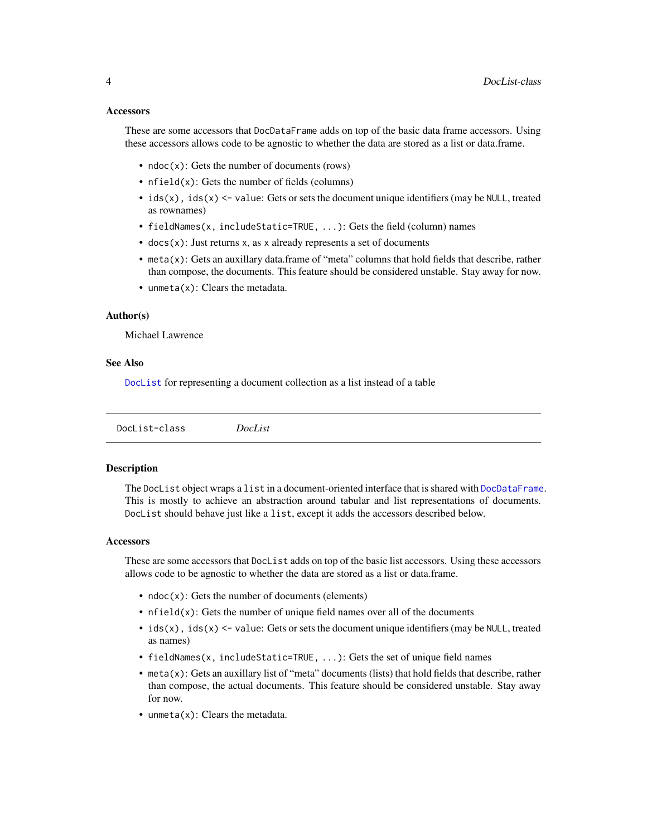### <span id="page-3-0"></span>**Accessors**

These are some accessors that DocDataFrame adds on top of the basic data frame accessors. Using these accessors allows code to be agnostic to whether the data are stored as a list or data.frame.

- $ndoc(x)$ : Gets the number of documents (rows)
- nfield(x): Gets the number of fields (columns)
- ids(x), ids(x) <- value: Gets or sets the document unique identifiers (may be NULL, treated as rownames)
- fieldNames(x, includeStatic=TRUE, ...): Gets the field (column) names
- $\bullet$  docs(x): Just returns x, as x already represents a set of documents
- meta $(x)$ : Gets an auxillary data.frame of "meta" columns that hold fields that describe, rather than compose, the documents. This feature should be considered unstable. Stay away for now.
- unmeta $(x)$ : Clears the metadata.

#### Author(s)

Michael Lawrence

### See Also

[DocList](#page-3-1) for representing a document collection as a list instead of a table

<span id="page-3-1"></span>DocList-class *DocList*

### Description

The DocList object wraps a list in a document-oriented interface that is shared with [DocDataFrame](#page-2-1). This is mostly to achieve an abstraction around tabular and list representations of documents. DocList should behave just like a list, except it adds the accessors described below.

#### **Accessors**

These are some accessors that DocList adds on top of the basic list accessors. Using these accessors allows code to be agnostic to whether the data are stored as a list or data.frame.

- $ndoc(x)$ : Gets the number of documents (elements)
- $n \text{ field}(x)$ : Gets the number of unique field names over all of the documents
- ids(x), ids(x)  $\le$  value: Gets or sets the document unique identifiers (may be NULL, treated as names)
- fieldNames(x, includeStatic=TRUE, ...): Gets the set of unique field names
- meta(x): Gets an auxillary list of "meta" documents (lists) that hold fields that describe, rather than compose, the actual documents. This feature should be considered unstable. Stay away for now.
- unmeta(x): Clears the metadata.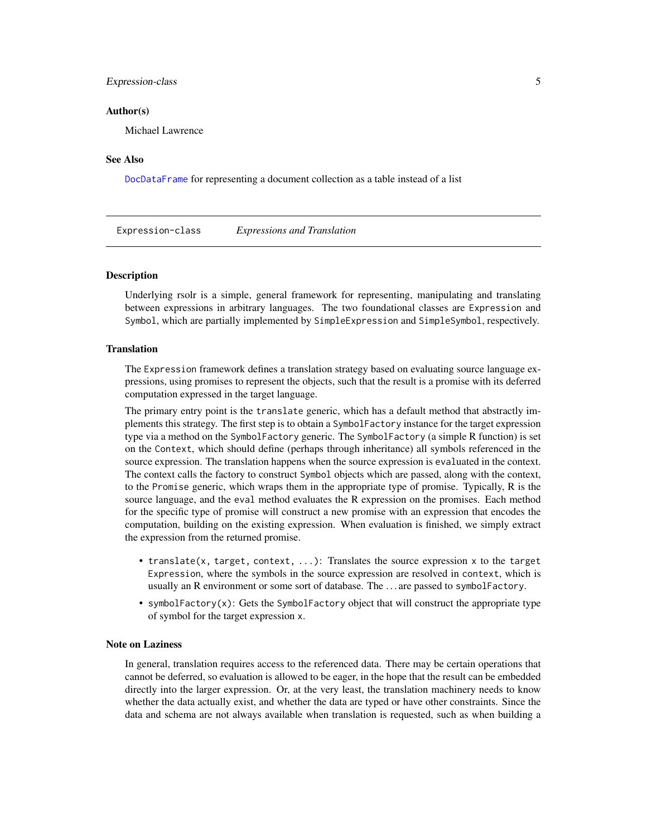### <span id="page-4-0"></span>Expression-class 5

### Author(s)

Michael Lawrence

### See Also

[DocDataFrame](#page-2-1) for representing a document collection as a table instead of a list

Expression-class *Expressions and Translation*

### <span id="page-4-1"></span>**Description**

Underlying rsolr is a simple, general framework for representing, manipulating and translating between expressions in arbitrary languages. The two foundational classes are Expression and Symbol, which are partially implemented by SimpleExpression and SimpleSymbol, respectively.

#### **Translation**

The Expression framework defines a translation strategy based on evaluating source language expressions, using promises to represent the objects, such that the result is a promise with its deferred computation expressed in the target language.

The primary entry point is the translate generic, which has a default method that abstractly implements this strategy. The first step is to obtain a SymbolFactory instance for the target expression type via a method on the SymbolFactory generic. The SymbolFactory (a simple R function) is set on the Context, which should define (perhaps through inheritance) all symbols referenced in the source expression. The translation happens when the source expression is evaluated in the context. The context calls the factory to construct Symbol objects which are passed, along with the context, to the Promise generic, which wraps them in the appropriate type of promise. Typically, R is the source language, and the eval method evaluates the R expression on the promises. Each method for the specific type of promise will construct a new promise with an expression that encodes the computation, building on the existing expression. When evaluation is finished, we simply extract the expression from the returned promise.

- translate(x, target, context, ...): Translates the source expression x to the target Expression, where the symbols in the source expression are resolved in context, which is usually an R environment or some sort of database. The . . . are passed to symbolFactory.
- symbolFactory $(x)$ : Gets the SymbolFactory object that will construct the appropriate type of symbol for the target expression x.

### Note on Laziness

In general, translation requires access to the referenced data. There may be certain operations that cannot be deferred, so evaluation is allowed to be eager, in the hope that the result can be embedded directly into the larger expression. Or, at the very least, the translation machinery needs to know whether the data actually exist, and whether the data are typed or have other constraints. Since the data and schema are not always available when translation is requested, such as when building a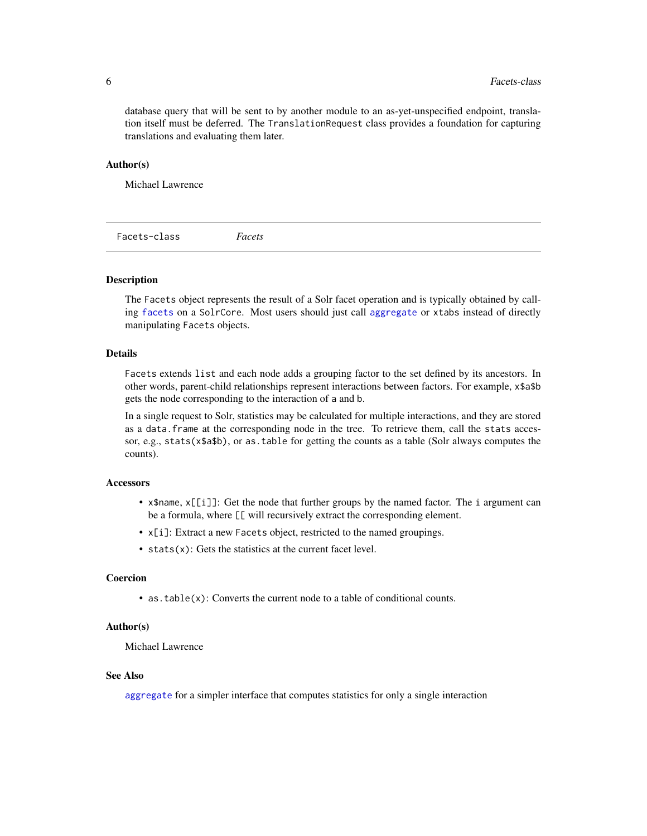database query that will be sent to by another module to an as-yet-unspecified endpoint, translation itself must be deferred. The TranslationRequest class provides a foundation for capturing translations and evaluating them later.

### Author(s)

Michael Lawrence

<span id="page-5-1"></span>Facets-class *Facets*

### **Description**

The Facets object represents the result of a Solr facet operation and is typically obtained by calling [facets](#page-10-1) on a SolrCore. Most users should just call [aggregate](#page-13-1) or xtabs instead of directly manipulating Facets objects.

### Details

Facets extends list and each node adds a grouping factor to the set defined by its ancestors. In other words, parent-child relationships represent interactions between factors. For example, x\$a\$b gets the node corresponding to the interaction of a and b.

In a single request to Solr, statistics may be calculated for multiple interactions, and they are stored as a data.frame at the corresponding node in the tree. To retrieve them, call the stats accessor, e.g., stats(x\$a\$b), or as.table for getting the counts as a table (Solr always computes the counts).

### **Accessors**

- x\$name, x[[i]]: Get the node that further groups by the named factor. The i argument can be a formula, where [[ will recursively extract the corresponding element.
- x[i]: Extract a new Facets object, restricted to the named groupings.
- stats(x): Gets the statistics at the current facet level.

### Coercion

• as.table(x): Converts the current node to a table of conditional counts.

### Author(s)

Michael Lawrence

### See Also

[aggregate](#page-13-1) for a simpler interface that computes statistics for only a single interaction

<span id="page-5-0"></span>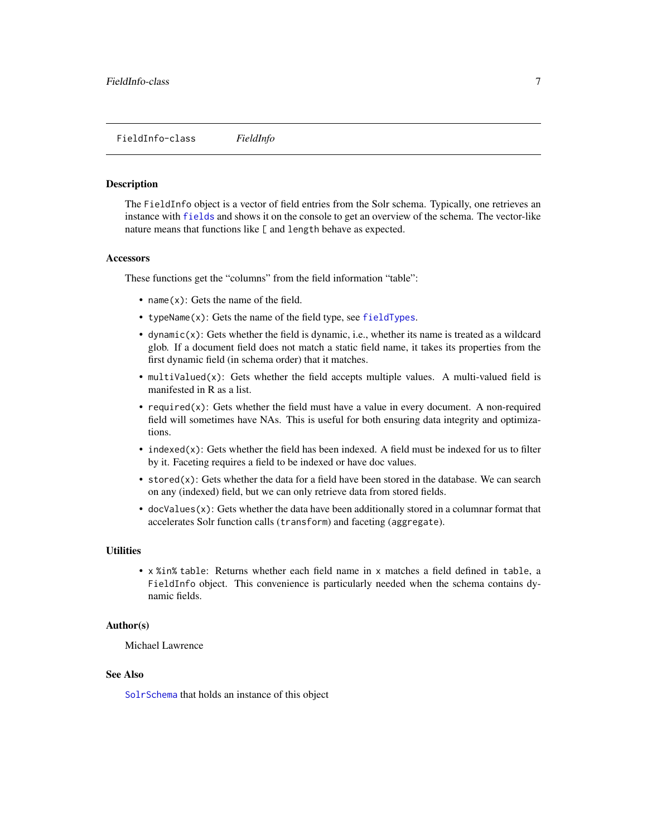#### <span id="page-6-1"></span><span id="page-6-0"></span>Description

The FieldInfo object is a vector of field entries from the Solr schema. Typically, one retrieves an instance with [fields](#page-22-1) and shows it on the console to get an overview of the schema. The vector-like nature means that functions like [ and length behave as expected.

#### Accessors

These functions get the "columns" from the field information "table":

- name(x): Gets the name of the field.
- typeName(x): Gets the name of the field type, see [fieldTypes](#page-22-1).
- $\bullet$  dynamic(x): Gets whether the field is dynamic, i.e., whether its name is treated as a wildcard glob. If a document field does not match a static field name, it takes its properties from the first dynamic field (in schema order) that it matches.
- multiValued(x): Gets whether the field accepts multiple values. A multi-valued field is manifested in R as a list.
- required $(x)$ : Gets whether the field must have a value in every document. A non-required field will sometimes have NAs. This is useful for both ensuring data integrity and optimizations.
- $\bullet$  indexed(x): Gets whether the field has been indexed. A field must be indexed for us to filter by it. Faceting requires a field to be indexed or have doc values.
- stored $(x)$ : Gets whether the data for a field have been stored in the database. We can search on any (indexed) field, but we can only retrieve data from stored fields.
- docValues(x): Gets whether the data have been additionally stored in a columnar format that accelerates Solr function calls (transform) and faceting (aggregate).

### **Utilities**

• x %in% table: Returns whether each field name in x matches a field defined in table, a FieldInfo object. This convenience is particularly needed when the schema contains dynamic fields.

### Author(s)

Michael Lawrence

#### See Also

[SolrSchema](#page-22-2) that holds an instance of this object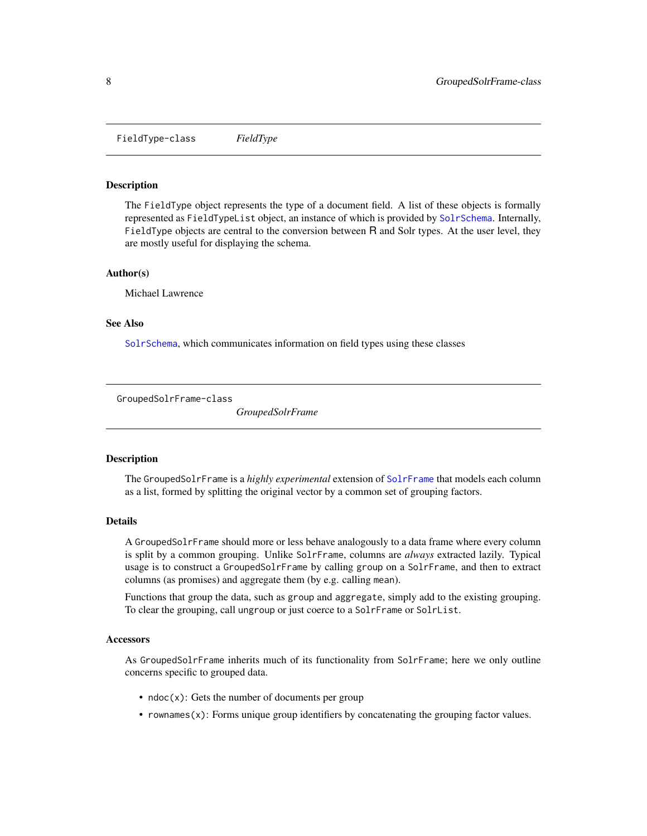<span id="page-7-0"></span>FieldType-class *FieldType*

### <span id="page-7-3"></span>Description

The FieldType object represents the type of a document field. A list of these objects is formally represented as FieldTypeList object, an instance of which is provided by [SolrSchema](#page-22-2). Internally, FieldType objects are central to the conversion between R and Solr types. At the user level, they are mostly useful for displaying the schema.

#### Author(s)

Michael Lawrence

#### See Also

[SolrSchema](#page-22-2), which communicates information on field types using these classes

<span id="page-7-1"></span>GroupedSolrFrame-class

*GroupedSolrFrame*

### <span id="page-7-2"></span>Description

The GroupedSolrFrame is a *highly experimental* extension of [SolrFrame](#page-13-2) that models each column as a list, formed by splitting the original vector by a common set of grouping factors.

### Details

A GroupedSolrFrame should more or less behave analogously to a data frame where every column is split by a common grouping. Unlike SolrFrame, columns are *always* extracted lazily. Typical usage is to construct a GroupedSolrFrame by calling group on a SolrFrame, and then to extract columns (as promises) and aggregate them (by e.g. calling mean).

Functions that group the data, such as group and aggregate, simply add to the existing grouping. To clear the grouping, call ungroup or just coerce to a SolrFrame or SolrList.

#### **Accessors**

As GroupedSolrFrame inherits much of its functionality from SolrFrame; here we only outline concerns specific to grouped data.

- ndoc(x): Gets the number of documents per group
- rownames(x): Forms unique group identifiers by concatenating the grouping factor values.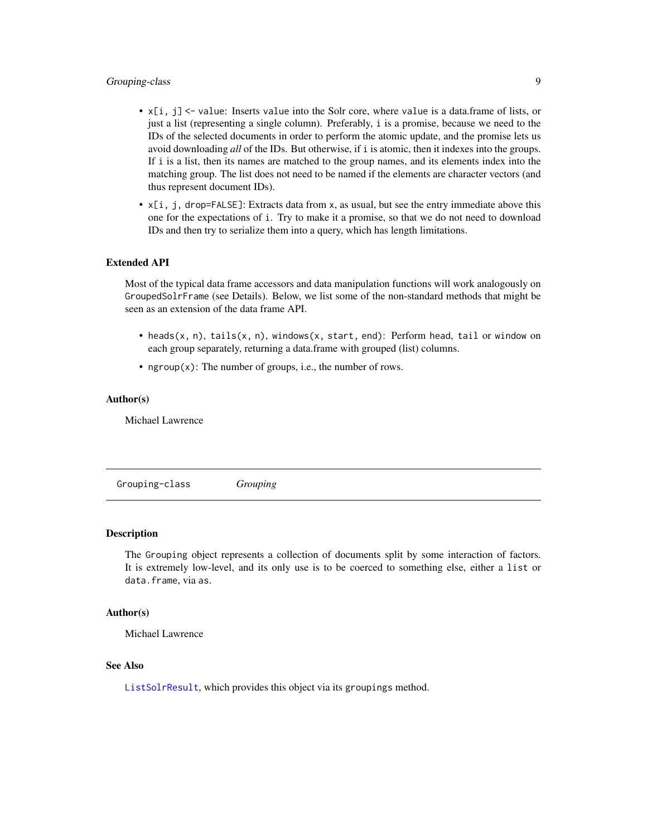### <span id="page-8-0"></span>Grouping-class 9

- $x[i, j]$  <- value: Inserts value into the Solr core, where value is a data.frame of lists, or just a list (representing a single column). Preferably, i is a promise, because we need to the IDs of the selected documents in order to perform the atomic update, and the promise lets us avoid downloading *all* of the IDs. But otherwise, if i is atomic, then it indexes into the groups. If i is a list, then its names are matched to the group names, and its elements index into the matching group. The list does not need to be named if the elements are character vectors (and thus represent document IDs).
- $x[i, j, drop=FALSE]$ : Extracts data from x, as usual, but see the entry immediate above this one for the expectations of i. Try to make it a promise, so that we do not need to download IDs and then try to serialize them into a query, which has length limitations.

### Extended API

Most of the typical data frame accessors and data manipulation functions will work analogously on GroupedSolrFrame (see Details). Below, we list some of the non-standard methods that might be seen as an extension of the data frame API.

- heads(x, n), tails(x, n), windows(x, start, end): Perform head, tail or window on each group separately, returning a data.frame with grouped (list) columns.
- ngroup $(x)$ : The number of groups, i.e., the number of rows.

### Author(s)

Michael Lawrence

<span id="page-8-1"></span>Grouping-class *Grouping*

#### Description

The Grouping object represents a collection of documents split by some interaction of factors. It is extremely low-level, and its only use is to be coerced to something else, either a list or data.frame, via as.

#### Author(s)

Michael Lawrence

#### See Also

[ListSolrResult](#page-9-1), which provides this object via its groupings method.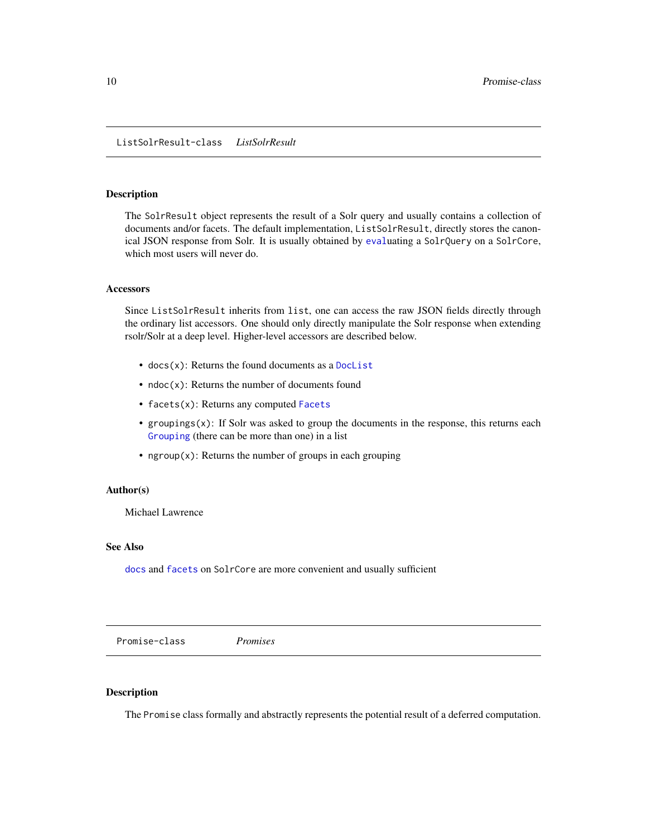### <span id="page-9-1"></span><span id="page-9-0"></span>Description

The SolrResult object represents the result of a Solr query and usually contains a collection of documents and/or facets. The default implementation, ListSolrResult, directly stores the canonical JSON response from Solr. It is usually obtained by [eval](#page-0-0)uating a SolrQuery on a SolrCore, which most users will never do.

### **Accessors**

Since ListSolrResult inherits from list, one can access the raw JSON fields directly through the ordinary list accessors. One should only directly manipulate the Solr response when extending rsolr/Solr at a deep level. Higher-level accessors are described below.

- docs(x): Returns the found documents as a [DocList](#page-3-1)
- $ndoc(x)$ : Returns the number of documents found
- facets(x): Returns any computed [Facets](#page-5-1)
- groupings(x): If Solr was asked to group the documents in the response, this returns each [Grouping](#page-8-1) (there can be more than one) in a list
- ngroup $(x)$ : Returns the number of groups in each grouping

### Author(s)

Michael Lawrence

### See Also

[docs](#page-0-0) and [facets](#page-0-0) on SolrCore are more convenient and usually sufficient

Promise-class *Promises*

### Description

The Promise class formally and abstractly represents the potential result of a deferred computation.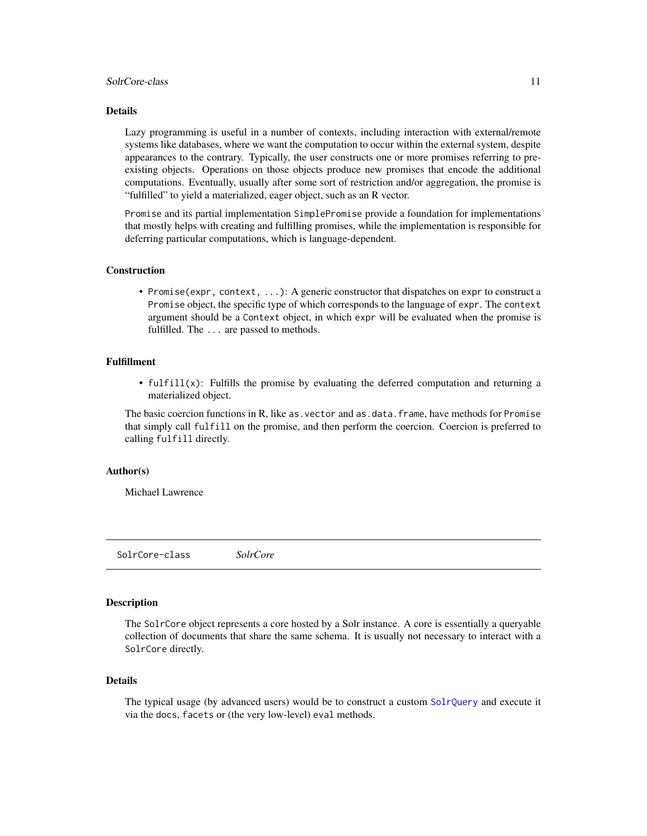### <span id="page-10-0"></span>SolrCore-class 11

### Details

Lazy programming is useful in a number of contexts, including interaction with external/remote systems like databases, where we want the computation to occur within the external system, despite appearances to the contrary. Typically, the user constructs one or more promises referring to preexisting objects. Operations on those objects produce new promises that encode the additional computations. Eventually, usually after some sort of restriction and/or aggregation, the promise is "fulfilled" to yield a materialized, eager object, such as an R vector.

Promise and its partial implementation SimplePromise provide a foundation for implementations that mostly helps with creating and fulfilling promises, while the implementation is responsible for deferring particular computations, which is language-dependent.

#### Construction

• Promise(expr, context, ...): A generic constructor that dispatches on expr to construct a Promise object, the specific type of which corresponds to the language of expr. The context argument should be a Context object, in which expr will be evaluated when the promise is fulfilled. The ... are passed to methods.

### Fulfillment

• fulfill(x): Fulfills the promise by evaluating the deferred computation and returning a materialized object.

The basic coercion functions in R, like as. vector and as.data. frame, have methods for Promise that simply call fulfill on the promise, and then perform the coercion. Coercion is preferred to calling fulfill directly.

### Author(s)

Michael Lawrence

<span id="page-10-2"></span>SolrCore-class *SolrCore*

### <span id="page-10-1"></span>**Description**

The SolrCore object represents a core hosted by a Solr instance. A core is essentially a queryable collection of documents that share the same schema. It is usually not necessary to interact with a SolrCore directly.

### Details

The typical usage (by advanced users) would be to construct a custom [SolrQuery](#page-20-1) and execute it via the docs, facets or (the very low-level) eval methods.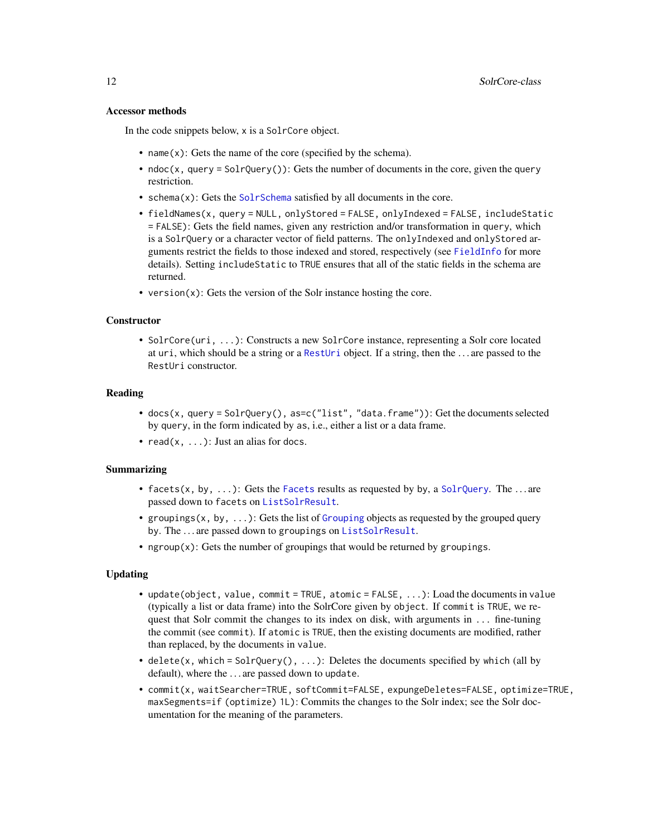#### <span id="page-11-0"></span>Accessor methods

In the code snippets below, x is a SolrCore object.

- name(x): Gets the name of the core (specified by the schema).
- ndoc(x, query = SolrQuery()): Gets the number of documents in the core, given the query restriction.
- schema(x): Gets the [SolrSchema](#page-22-2) satisfied by all documents in the core.
- fieldNames(x, query = NULL, onlyStored = FALSE, onlyIndexed = FALSE, includeStatic = FALSE): Gets the field names, given any restriction and/or transformation in query, which is a SolrQuery or a character vector of field patterns. The onlyIndexed and onlyStored arguments restrict the fields to those indexed and stored, respectively (see [FieldInfo](#page-6-1) for more details). Setting includeStatic to TRUE ensures that all of the static fields in the schema are returned.
- version $(x)$ : Gets the version of the Solr instance hosting the core.

### **Constructor**

• SolrCore(uri, ...): Constructs a new SolrCore instance, representing a Solr core located at uri, which should be a string or a [RestUri](#page-0-0) object. If a string, then the . . . are passed to the RestUri constructor.

#### Reading

- docs(x, query = SolrQuery(), as=c("list", "data.frame")): Get the documents selected by query, in the form indicated by as, i.e., either a list or a data frame.
- read $(x, \ldots)$ : Just an alias for docs.

### Summarizing

- facets(x, by, ...): Gets the [Facets](#page-5-1) results as requested by by, a [SolrQuery](#page-20-1). The ... are passed down to facets on [ListSolrResult](#page-9-1).
- groupings(x, by, ...): Gets the list of [Grouping](#page-8-1) objects as requested by the grouped query by. The . . . are passed down to groupings on [ListSolrResult](#page-9-1).
- ngroup(x): Gets the number of groupings that would be returned by groupings.

### Updating

- update(object, value, commit = TRUE, atomic = FALSE, ...): Load the documents in value (typically a list or data frame) into the SolrCore given by object. If commit is TRUE, we request that Solr commit the changes to its index on disk, with arguments in ... fine-tuning the commit (see commit). If atomic is TRUE, then the existing documents are modified, rather than replaced, by the documents in value.
- delete(x, which = SolrQuery(),  $\dots$ ): Deletes the documents specified by which (all by default), where the . . . are passed down to update.
- commit(x, waitSearcher=TRUE, softCommit=FALSE, expungeDeletes=FALSE, optimize=TRUE, maxSegments=if (optimize) 1L): Commits the changes to the Solr index; see the Solr documentation for the meaning of the parameters.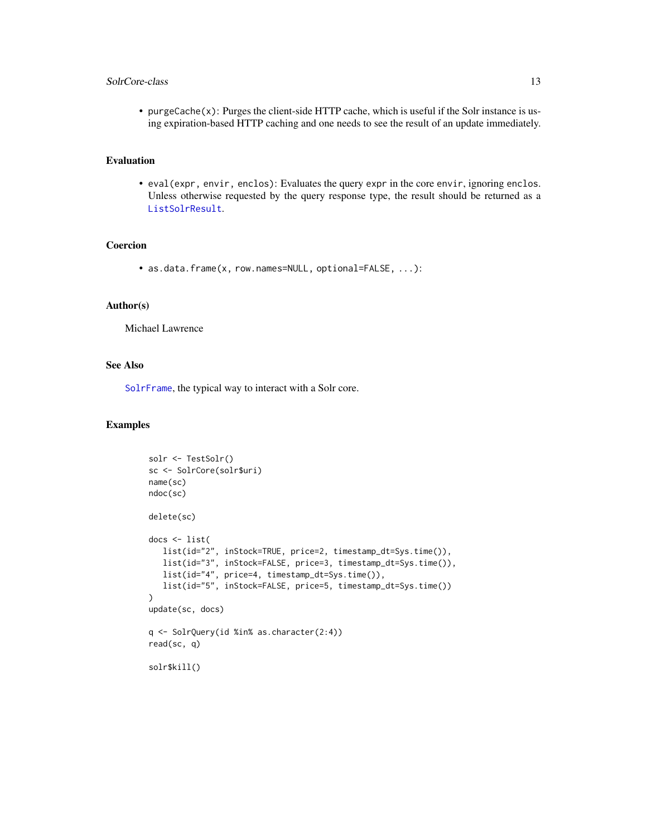### <span id="page-12-0"></span>SolrCore-class 13

• purgeCache(x): Purges the client-side HTTP cache, which is useful if the Solr instance is using expiration-based HTTP caching and one needs to see the result of an update immediately.

### Evaluation

• eval(expr, envir, enclos): Evaluates the query expr in the core envir, ignoring enclos. Unless otherwise requested by the query response type, the result should be returned as a [ListSolrResult](#page-9-1).

### Coercion

• as.data.frame(x, row.names=NULL, optional=FALSE, ...):

### Author(s)

Michael Lawrence

### See Also

[SolrFrame](#page-13-2), the typical way to interact with a Solr core.

### Examples

```
solr <- TestSolr()
sc <- SolrCore(solr$uri)
name(sc)
ndoc(sc)
delete(sc)
docs <- list(
  list(id="2", inStock=TRUE, price=2, timestamp_dt=Sys.time()),
   list(id="3", inStock=FALSE, price=3, timestamp_dt=Sys.time()),
  list(id="4", price=4, timestamp_dt=Sys.time()),
  list(id="5", inStock=FALSE, price=5, timestamp_dt=Sys.time())
)
update(sc, docs)
q <- SolrQuery(id %in% as.character(2:4))
read(sc, q)
solr$kill()
```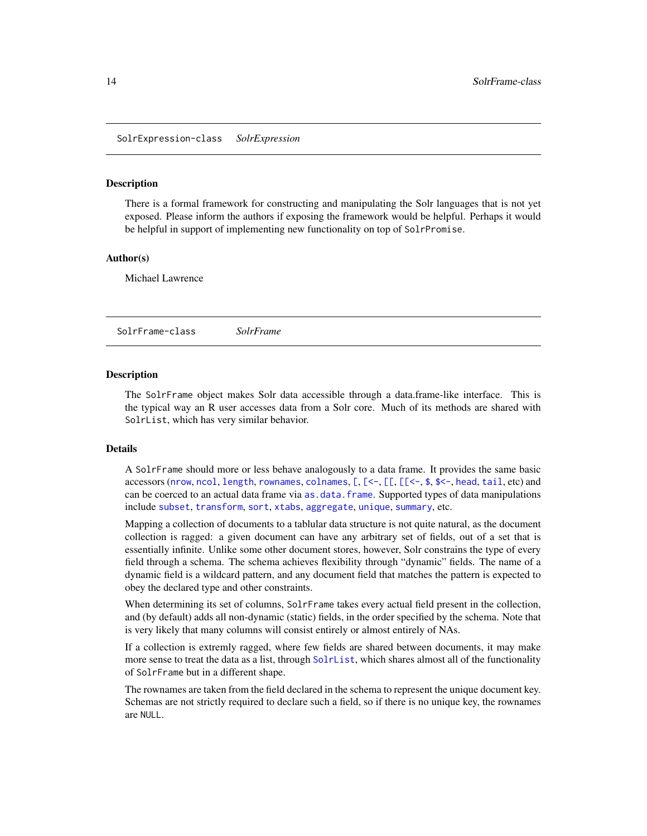<span id="page-13-3"></span><span id="page-13-0"></span>SolrExpression-class *SolrExpression*

#### **Description**

There is a formal framework for constructing and manipulating the Solr languages that is not yet exposed. Please inform the authors if exposing the framework would be helpful. Perhaps it would be helpful in support of implementing new functionality on top of SolrPromise.

#### Author(s)

Michael Lawrence

<span id="page-13-2"></span>SolrFrame-class *SolrFrame*

### <span id="page-13-1"></span>Description

The SolrFrame object makes Solr data accessible through a data.frame-like interface. This is the typical way an R user accesses data from a Solr core. Much of its methods are shared with SolrList, which has very similar behavior.

#### Details

A SolrFrame should more or less behave analogously to a data frame. It provides the same basic accessors ([nrow](#page-0-0), [ncol](#page-0-0), [length](#page-0-0), [rownames](#page-0-0), [colnames](#page-0-0),  $\lceil$ ,  $\lceil$ <-,  $\lceil$ ,  $\lceil$   $\lceil$ <-, [\\$](#page-0-0), [\\$<-](#page-0-0), [head](#page-0-0), [tail](#page-0-0), etc) and can be coerced to an actual data frame via [as.data.frame](#page-0-0). Supported types of data manipulations include [subset](#page-0-0), [transform](#page-0-0), [sort](#page-0-0), [xtabs](#page-0-0), [aggregate](#page-0-0), [unique](#page-0-0), [summary](#page-0-0), etc.

Mapping a collection of documents to a tablular data structure is not quite natural, as the document collection is ragged: a given document can have any arbitrary set of fields, out of a set that is essentially infinite. Unlike some other document stores, however, Solr constrains the type of every field through a schema. The schema achieves flexibility through "dynamic" fields. The name of a dynamic field is a wildcard pattern, and any document field that matches the pattern is expected to obey the declared type and other constraints.

When determining its set of columns, SolrFrame takes every actual field present in the collection, and (by default) adds all non-dynamic (static) fields, in the order specified by the schema. Note that is very likely that many columns will consist entirely or almost entirely of NAs.

If a collection is extremly ragged, where few fields are shared between documents, it may make more sense to treat the data as a list, through [SolrList](#page-16-1), which shares almost all of the functionality of SolrFrame but in a different shape.

The rownames are taken from the field declared in the schema to represent the unique document key. Schemas are not strictly required to declare such a field, so if there is no unique key, the rownames are NULL.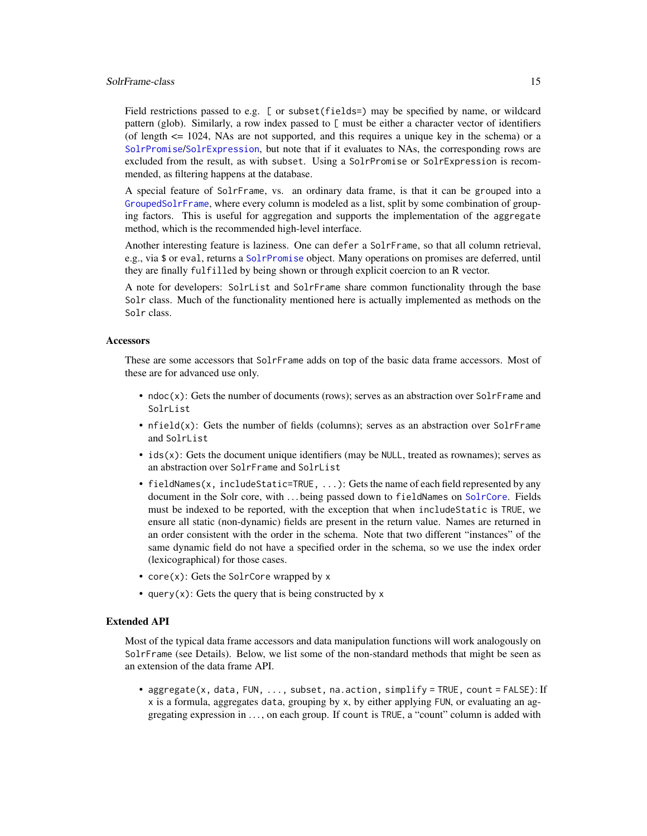#### <span id="page-14-0"></span>SolrFrame-class 15

Field restrictions passed to e.g. [ or subset(fields=) may be specified by name, or wildcard pattern (glob). Similarly, a row index passed to  $\Gamma$  must be either a character vector of identifiers (of length <= 1024, NAs are not supported, and this requires a unique key in the schema) or a [SolrPromise](#page-18-1)/[SolrExpression](#page-13-3), but note that if it evaluates to NAs, the corresponding rows are excluded from the result, as with subset. Using a SolrPromise or SolrExpression is recommended, as filtering happens at the database.

A special feature of SolrFrame, vs. an ordinary data frame, is that it can be grouped into a [GroupedSolrFrame](#page-7-1), where every column is modeled as a list, split by some combination of grouping factors. This is useful for aggregation and supports the implementation of the aggregate method, which is the recommended high-level interface.

Another interesting feature is laziness. One can defer a SolrFrame, so that all column retrieval, e.g., via \$ or eval, returns a [SolrPromise](#page-18-1) object. Many operations on promises are deferred, until they are finally fulfilled by being shown or through explicit coercion to an R vector.

A note for developers: SolrList and SolrFrame share common functionality through the base Solr class. Much of the functionality mentioned here is actually implemented as methods on the Solr class.

### **Accessors**

These are some accessors that SolrFrame adds on top of the basic data frame accessors. Most of these are for advanced use only.

- $ndoc(x)$ : Gets the number of documents (rows); serves as an abstraction over SolrFrame and SolrList
- $n \text{ field}(x)$ : Gets the number of fields (columns); serves as an abstraction over SolrFrame and SolrList
- $\bullet$  ids(x): Gets the document unique identifiers (may be NULL, treated as rownames); serves as an abstraction over SolrFrame and SolrList
- fieldNames(x, includeStatic=TRUE, ...): Gets the name of each field represented by any document in the Solr core, with . . . being passed down to fieldNames on [SolrCore](#page-10-2). Fields must be indexed to be reported, with the exception that when includeStatic is TRUE, we ensure all static (non-dynamic) fields are present in the return value. Names are returned in an order consistent with the order in the schema. Note that two different "instances" of the same dynamic field do not have a specified order in the schema, so we use the index order (lexicographical) for those cases.
- core(x): Gets the SolrCore wrapped by x
- query(x): Gets the query that is being constructed by  $x$

### Extended API

Most of the typical data frame accessors and data manipulation functions will work analogously on SolrFrame (see Details). Below, we list some of the non-standard methods that might be seen as an extension of the data frame API.

• aggregate(x, data, FUN, ..., subset, na.action, simplify = TRUE, count = FALSE): If x is a formula, aggregates data, grouping by x, by either applying FUN, or evaluating an aggregating expression in . . . , on each group. If count is TRUE, a "count" column is added with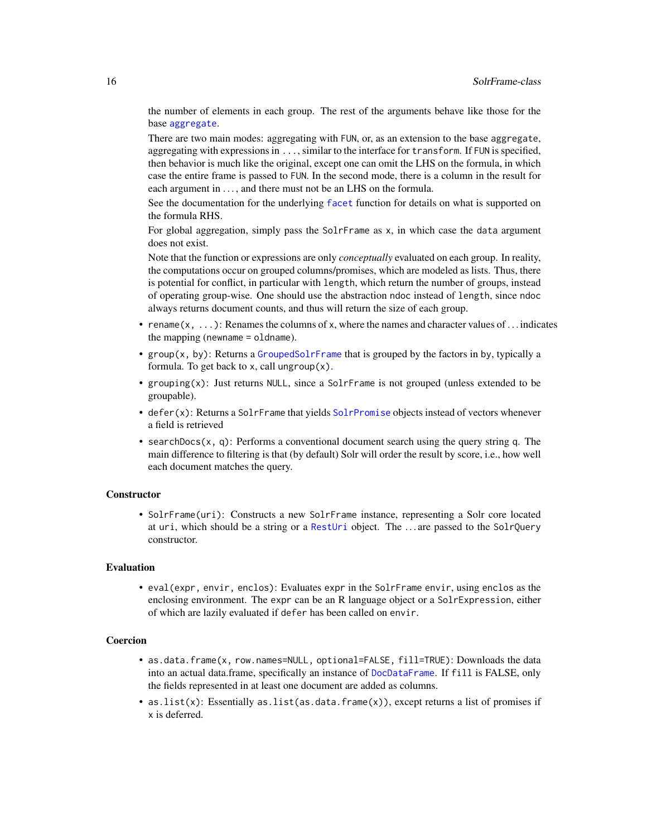<span id="page-15-0"></span>the number of elements in each group. The rest of the arguments behave like those for the base [aggregate](#page-0-0).

There are two main modes: aggregating with FUN, or, as an extension to the base aggregate, aggregating with expressions in ..., similar to the interface for transform. If FUN is specified, then behavior is much like the original, except one can omit the LHS on the formula, in which case the entire frame is passed to FUN. In the second mode, there is a column in the result for each argument in ..., and there must not be an LHS on the formula.

See the documentation for the underlying [facet](#page-20-2) function for details on what is supported on the formula RHS.

For global aggregation, simply pass the SolrFrame as x, in which case the data argument does not exist.

Note that the function or expressions are only *conceptually* evaluated on each group. In reality, the computations occur on grouped columns/promises, which are modeled as lists. Thus, there is potential for conflict, in particular with length, which return the number of groups, instead of operating group-wise. One should use the abstraction ndoc instead of length, since ndoc always returns document counts, and thus will return the size of each group.

- rename( $x, \ldots$ ): Renames the columns of x, where the names and character values of ... indicates the mapping (newname = oldname).
- group(x, by): Returns a [GroupedSolrFrame](#page-7-1) that is grouped by the factors in by, typically a formula. To get back to x, call ungroup $(x)$ .
- grouping(x): Just returns NULL, since a SolrFrame is not grouped (unless extended to be groupable).
- defer(x): Returns a SolrFrame that yields [SolrPromise](#page-18-1) objects instead of vectors whenever a field is retrieved
- searchDocs(x, q): Performs a conventional document search using the query string q. The main difference to filtering is that (by default) Solr will order the result by score, i.e., how well each document matches the query.

### **Constructor**

• SolrFrame(uri): Constructs a new SolrFrame instance, representing a Solr core located at uri, which should be a string or a [RestUri](#page-0-0) object. The ... are passed to the SolrQuery constructor.

#### Evaluation

• eval(expr, envir, enclos): Evaluates expr in the SolrFrame envir, using enclos as the enclosing environment. The expr can be an R language object or a SolrExpression, either of which are lazily evaluated if defer has been called on envir.

#### **Coercion**

- as.data.frame(x, row.names=NULL, optional=FALSE, fill=TRUE): Downloads the data into an actual data.frame, specifically an instance of [DocDataFrame](#page-2-1). If fill is FALSE, only the fields represented in at least one document are added as columns.
- as.list(x): Essentially as.list(as.data.frame(x)), except returns a list of promises if x is deferred.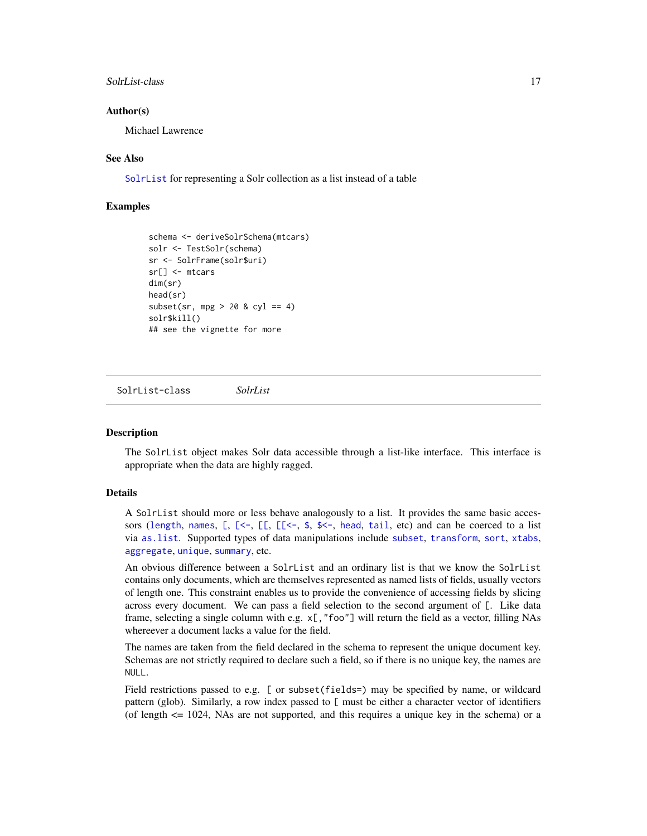### <span id="page-16-0"></span>SolrList-class 17

### Author(s)

Michael Lawrence

### See Also

[SolrList](#page-16-1) for representing a Solr collection as a list instead of a table

### Examples

```
schema <- deriveSolrSchema(mtcars)
solr <- TestSolr(schema)
sr <- SolrFrame(solr$uri)
sr[] <- mtcars
dim(sr)
head(sr)
subset(sr, mpg > 20 & cyl == 4)
solr$kill()
## see the vignette for more
```
<span id="page-16-1"></span>SolrList-class *SolrList*

### **Description**

The SolrList object makes Solr data accessible through a list-like interface. This interface is appropriate when the data are highly ragged.

### Details

A SolrList should more or less behave analogously to a list. It provides the same basic accessors ([length](#page-0-0), [names](#page-0-0),  $[$ ,  $[$ <-,  $[$  $[$  $]$ ,  $[$  $[$ <-, [\\$](#page-0-0), [\\$<-](#page-0-0), [head](#page-0-0), [tail](#page-0-0), etc) and can be coerced to a list via [as.list](#page-0-0). Supported types of data manipulations include [subset](#page-0-0), [transform](#page-0-0), [sort](#page-0-0), [xtabs](#page-0-0), [aggregate](#page-0-0), [unique](#page-0-0), [summary](#page-0-0), etc.

An obvious difference between a SolrList and an ordinary list is that we know the SolrList contains only documents, which are themselves represented as named lists of fields, usually vectors of length one. This constraint enables us to provide the convenience of accessing fields by slicing across every document. We can pass a field selection to the second argument of [. Like data frame, selecting a single column with e.g.  $x$ [, "foo"] will return the field as a vector, filling NAs whereever a document lacks a value for the field.

The names are taken from the field declared in the schema to represent the unique document key. Schemas are not strictly required to declare such a field, so if there is no unique key, the names are NULL.

Field restrictions passed to e.g. [ or subset(fields=) may be specified by name, or wildcard pattern (glob). Similarly, a row index passed to [ must be either a character vector of identifiers (of length  $\leq$  1024, NAs are not supported, and this requires a unique key in the schema) or a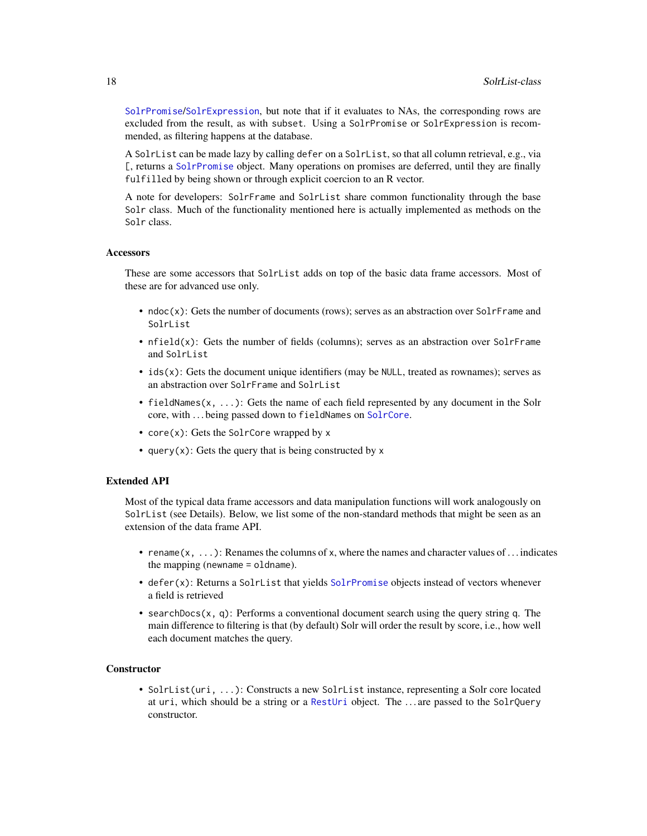<span id="page-17-0"></span>[SolrPromise](#page-18-1)/[SolrExpression](#page-13-3), but note that if it evaluates to NAs, the corresponding rows are excluded from the result, as with subset. Using a SolrPromise or SolrExpression is recommended, as filtering happens at the database.

A SolrList can be made lazy by calling defer on a SolrList, so that all column retrieval, e.g., via [, returns a [SolrPromise](#page-18-1) object. Many operations on promises are deferred, until they are finally fulfilled by being shown or through explicit coercion to an R vector.

A note for developers: SolrFrame and SolrList share common functionality through the base Solr class. Much of the functionality mentioned here is actually implemented as methods on the Solr class.

#### **Accessors**

These are some accessors that SolrList adds on top of the basic data frame accessors. Most of these are for advanced use only.

- ndoc(x): Gets the number of documents (rows); serves as an abstraction over SolrFrame and SolrList
- nfield(x): Gets the number of fields (columns); serves as an abstraction over SolrFrame and SolrList
- $\bullet$  ids(x): Gets the document unique identifiers (may be NULL, treated as rownames); serves as an abstraction over SolrFrame and SolrList
- fieldNames(x, ...): Gets the name of each field represented by any document in the Solr core, with . . . being passed down to fieldNames on [SolrCore](#page-10-2).
- core(x): Gets the SolrCore wrapped by x
- query(x): Gets the query that is being constructed by  $x$

### Extended API

Most of the typical data frame accessors and data manipulation functions will work analogously on SolrList (see Details). Below, we list some of the non-standard methods that might be seen as an extension of the data frame API.

- rename( $x, \ldots$ ): Renames the columns of x, where the names and character values of . . . indicates the mapping (newname = oldname).
- defer(x): Returns a SolrList that yields [SolrPromise](#page-18-1) objects instead of vectors whenever a field is retrieved
- searchDocs $(x, q)$ : Performs a conventional document search using the query string q. The main difference to filtering is that (by default) Solr will order the result by score, i.e., how well each document matches the query.

#### **Constructor**

• SolrList(uri, ...): Constructs a new SolrList instance, representing a Solr core located at uri, which should be a string or a [RestUri](#page-0-0) object. The . . . are passed to the SolrQuery constructor.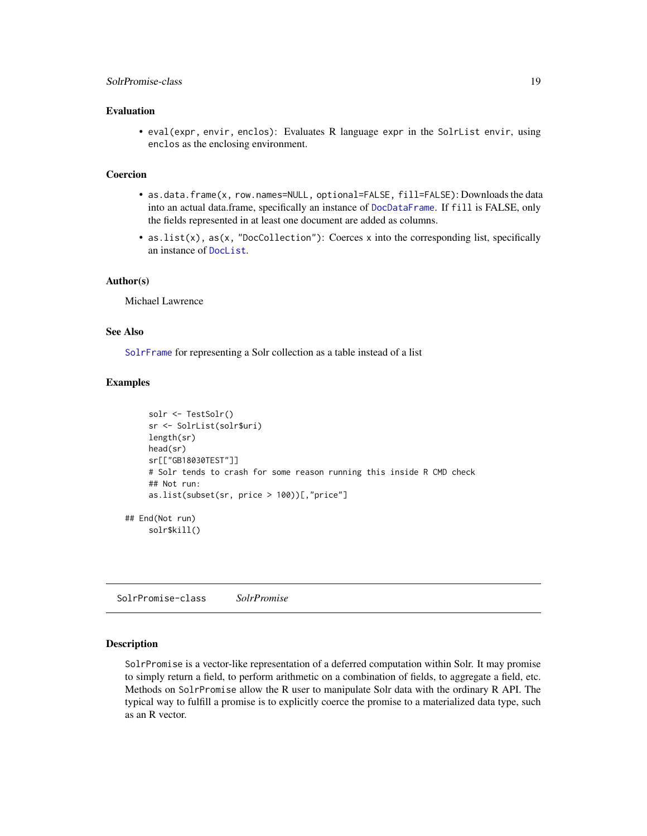### <span id="page-18-0"></span>SolrPromise-class 19

### Evaluation

• eval(expr, envir, enclos): Evaluates R language expr in the SolrList envir, using enclos as the enclosing environment.

#### Coercion

- as.data.frame(x, row.names=NULL, optional=FALSE, fill=FALSE): Downloads the data into an actual data.frame, specifically an instance of [DocDataFrame](#page-2-1). If fill is FALSE, only the fields represented in at least one document are added as columns.
- as.list(x), as(x, "DocCollection"): Coerces x into the corresponding list, specifically an instance of [DocList](#page-3-1).

### Author(s)

Michael Lawrence

### See Also

[SolrFrame](#page-13-2) for representing a Solr collection as a table instead of a list

### Examples

```
solr <- TestSolr()
    sr <- SolrList(solr$uri)
    length(sr)
    head(sr)
    sr[["GB18030TEST"]]
    # Solr tends to crash for some reason running this inside R CMD check
    ## Not run:
    as.list(subset(sr, price > 100))[,"price"]
## End(Not run)
    solr$kill()
```
<span id="page-18-1"></span>SolrPromise-class *SolrPromise*

### **Description**

SolrPromise is a vector-like representation of a deferred computation within Solr. It may promise to simply return a field, to perform arithmetic on a combination of fields, to aggregate a field, etc. Methods on SolrPromise allow the R user to manipulate Solr data with the ordinary R API. The typical way to fulfill a promise is to explicitly coerce the promise to a materialized data type, such as an R vector.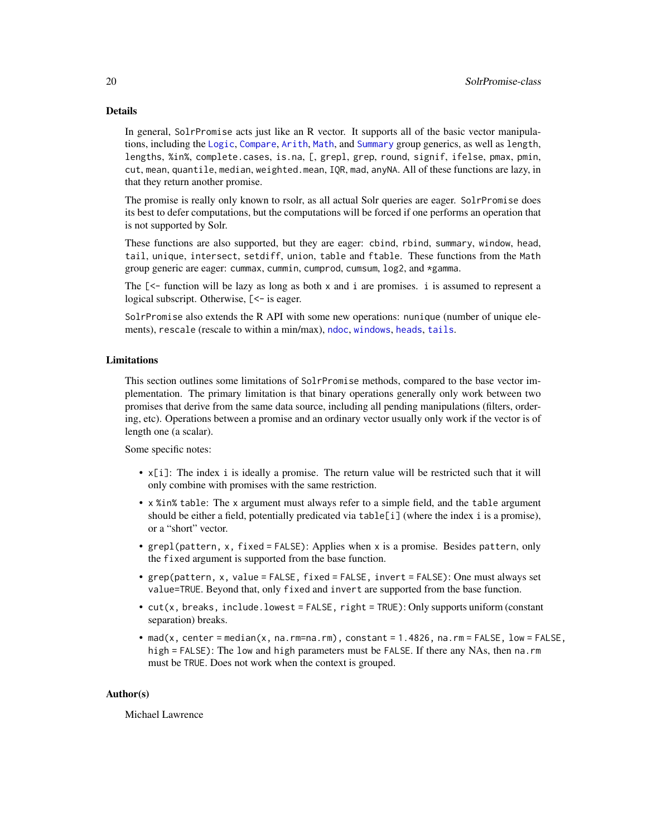### <span id="page-19-0"></span>Details

In general, SolrPromise acts just like an R vector. It supports all of the basic vector manipulations, including the [Logic](#page-0-0), [Compare](#page-0-0), [Arith](#page-0-0), [Math](#page-0-0), and [Summary](#page-0-0) group generics, as well as length, lengths, %in%, complete.cases, is.na, [, grepl, grep, round, signif, ifelse, pmax, pmin, cut, mean, quantile, median, weighted.mean, IQR, mad, anyNA. All of these functions are lazy, in that they return another promise.

The promise is really only known to rsolr, as all actual Solr queries are eager. SolrPromise does its best to defer computations, but the computations will be forced if one performs an operation that is not supported by Solr.

These functions are also supported, but they are eager: cbind, rbind, summary, window, head, tail, unique, intersect, setdiff, union, table and ftable. These functions from the Math group generic are eager: cummax, cummin, cumprod, cumsum, log2, and \*gamma.

The [<- function will be lazy as long as both x and i are promises. i is assumed to represent a logical subscript. Otherwise,  $\ll$  is eager.

SolrPromise also extends the R API with some new operations: nunique (number of unique elements), rescale (rescale to within a min/max), [ndoc](#page-2-2), [windows](#page-7-2), [heads](#page-7-2), [tails](#page-7-2).

### Limitations

This section outlines some limitations of SolrPromise methods, compared to the base vector implementation. The primary limitation is that binary operations generally only work between two promises that derive from the same data source, including all pending manipulations (filters, ordering, etc). Operations between a promise and an ordinary vector usually only work if the vector is of length one (a scalar).

Some specific notes:

- x[i]: The index i is ideally a promise. The return value will be restricted such that it will only combine with promises with the same restriction.
- x %in% table: The x argument must always refer to a simple field, and the table argument should be either a field, potentially predicated via table[i] (where the index i is a promise), or a "short" vector.
- grepl(pattern, x, fixed = FALSE): Applies when x is a promise. Besides pattern, only the fixed argument is supported from the base function.
- grep(pattern, x, value = FALSE, fixed = FALSE, invert = FALSE): One must always set value=TRUE. Beyond that, only fixed and invert are supported from the base function.
- cut(x, breaks, include.lowest = FALSE, right = TRUE): Only supports uniform (constant separation) breaks.
- mad(x, center = median(x,  $na$ .rm=na.rm), constant = 1.4826,  $na$ .rm = FALSE,  $low$  = FALSE, high = FALSE): The low and high parameters must be FALSE. If there any NAs, then na.rm must be TRUE. Does not work when the context is grouped.

### Author(s)

Michael Lawrence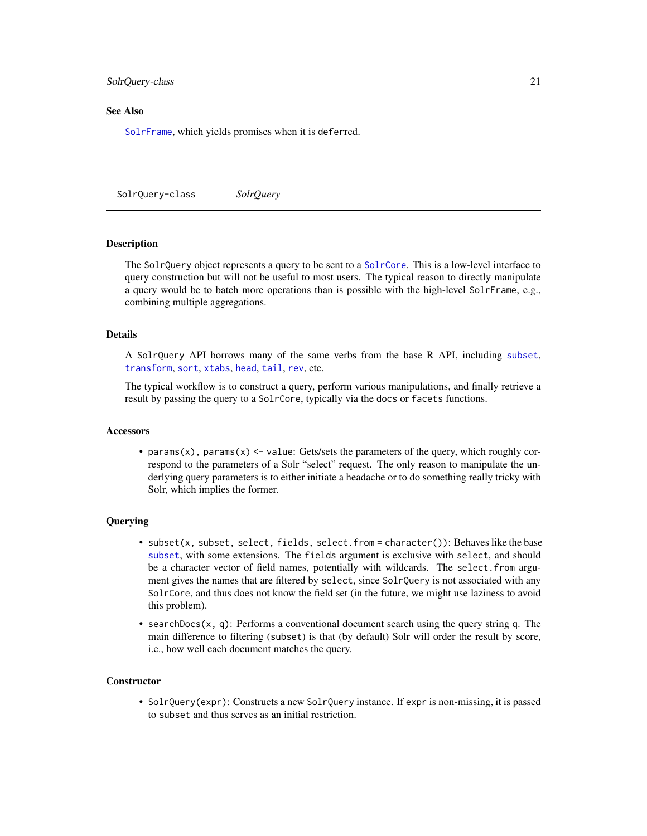#### <span id="page-20-0"></span>SolrQuery-class 21

### See Also

[SolrFrame](#page-13-2), which yields promises when it is deferred.

<span id="page-20-1"></span>SolrQuery-class *SolrQuery*

### <span id="page-20-2"></span>Description

The SolrQuery object represents a query to be sent to a [SolrCore](#page-10-2). This is a low-level interface to query construction but will not be useful to most users. The typical reason to directly manipulate a query would be to batch more operations than is possible with the high-level SolrFrame, e.g., combining multiple aggregations.

#### Details

A SolrQuery API borrows many of the same verbs from the base R API, including [subset](#page-0-0), [transform](#page-0-0), [sort](#page-0-0), [xtabs](#page-0-0), [head](#page-0-0), [tail](#page-0-0), [rev](#page-0-0), etc.

The typical workflow is to construct a query, perform various manipulations, and finally retrieve a result by passing the query to a SolrCore, typically via the docs or facets functions.

#### Accessors

• params(x), params(x)  $\le$  value: Gets/sets the parameters of the query, which roughly correspond to the parameters of a Solr "select" request. The only reason to manipulate the underlying query parameters is to either initiate a headache or to do something really tricky with Solr, which implies the former.

### Querying

- subset(x, subset, select, fields, select.from = character()): Behaves like the base [subset](#page-0-0), with some extensions. The fields argument is exclusive with select, and should be a character vector of field names, potentially with wildcards. The select.from argument gives the names that are filtered by select, since SolrQuery is not associated with any SolrCore, and thus does not know the field set (in the future, we might use laziness to avoid this problem).
- searchDocs(x, q): Performs a conventional document search using the query string q. The main difference to filtering (subset) is that (by default) Solr will order the result by score, i.e., how well each document matches the query.

#### **Constructor**

• SolrQuery(expr): Constructs a new SolrQuery instance. If expr is non-missing, it is passed to subset and thus serves as an initial restriction.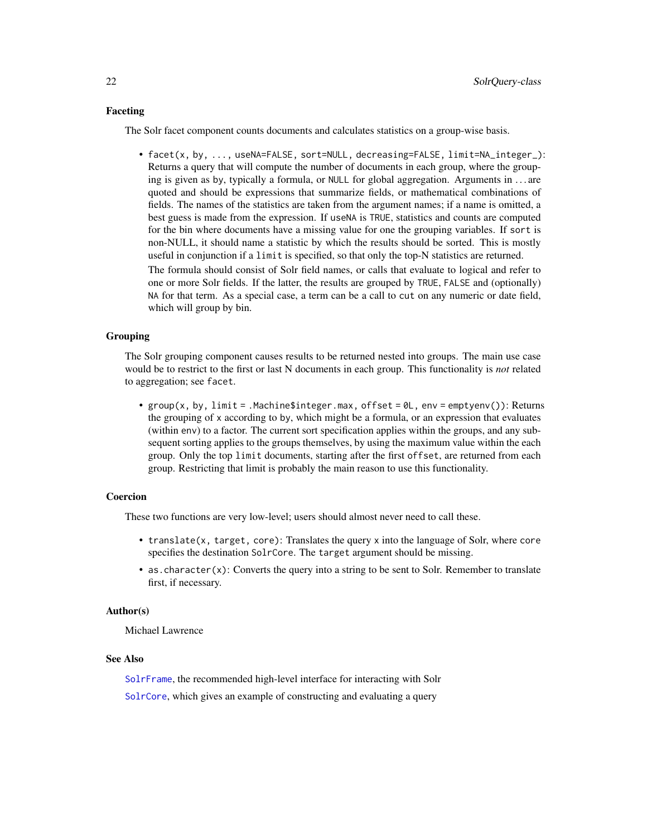### <span id="page-21-0"></span>Faceting

The Solr facet component counts documents and calculates statistics on a group-wise basis.

• facet(x, by, ..., useNA=FALSE, sort=NULL, decreasing=FALSE, limit=NA\_integer\_): Returns a query that will compute the number of documents in each group, where the grouping is given as by, typically a formula, or NULL for global aggregation. Arguments in . . . are quoted and should be expressions that summarize fields, or mathematical combinations of fields. The names of the statistics are taken from the argument names; if a name is omitted, a best guess is made from the expression. If useNA is TRUE, statistics and counts are computed for the bin where documents have a missing value for one the grouping variables. If sort is non-NULL, it should name a statistic by which the results should be sorted. This is mostly useful in conjunction if a limit is specified, so that only the top-N statistics are returned.

The formula should consist of Solr field names, or calls that evaluate to logical and refer to one or more Solr fields. If the latter, the results are grouped by TRUE, FALSE and (optionally) NA for that term. As a special case, a term can be a call to cut on any numeric or date field, which will group by bin.

### Grouping

The Solr grouping component causes results to be returned nested into groups. The main use case would be to restrict to the first or last N documents in each group. This functionality is *not* related to aggregation; see facet.

• group(x, by, limit = .Machine\$integer.max, offset = 0L, env = emptyenv()): Returns the grouping of x according to by, which might be a formula, or an expression that evaluates (within env) to a factor. The current sort specification applies within the groups, and any subsequent sorting applies to the groups themselves, by using the maximum value within the each group. Only the top limit documents, starting after the first offset, are returned from each group. Restricting that limit is probably the main reason to use this functionality.

### Coercion

These two functions are very low-level; users should almost never need to call these.

- translate(x, target, core): Translates the query x into the language of Solr, where core specifies the destination SolrCore. The target argument should be missing.
- as.character $(x)$ : Converts the query into a string to be sent to Solr. Remember to translate first, if necessary.

#### Author(s)

Michael Lawrence

#### See Also

[SolrFrame](#page-13-2), the recommended high-level interface for interacting with Solr

[SolrCore](#page-10-2), which gives an example of constructing and evaluating a query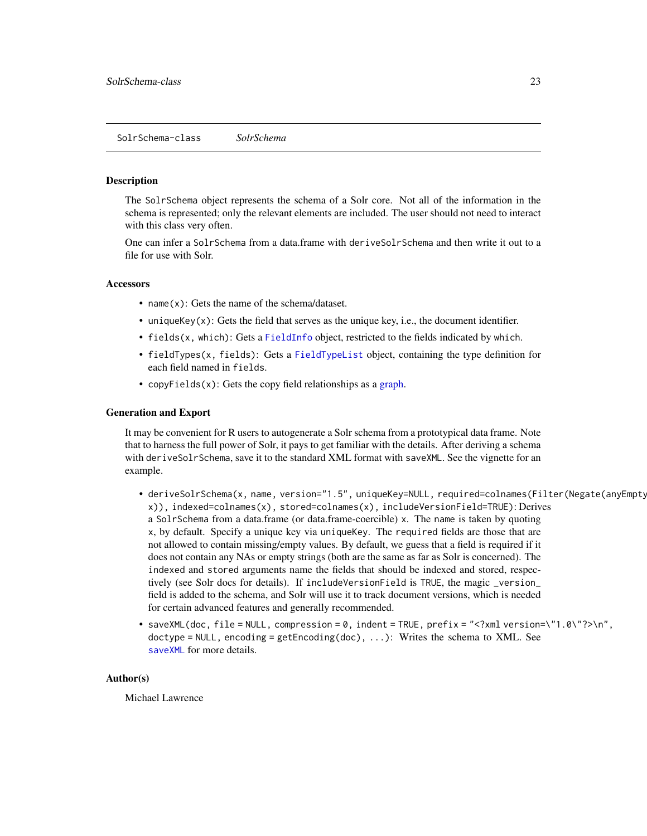#### <span id="page-22-2"></span><span id="page-22-1"></span><span id="page-22-0"></span>Description

The SolrSchema object represents the schema of a Solr core. Not all of the information in the schema is represented; only the relevant elements are included. The user should not need to interact with this class very often.

One can infer a SolrSchema from a data.frame with deriveSolrSchema and then write it out to a file for use with Solr.

### **Accessors**

- name(x): Gets the name of the schema/dataset.
- unique $Key(x)$ : Gets the field that serves as the unique key, i.e., the document identifier.
- fields(x, which): Gets a [FieldInfo](#page-6-1) object, restricted to the fields indicated by which.
- fieldTypes(x, fields): Gets a [FieldTypeList](#page-7-3) object, containing the type definition for each field named in fields.
- copyFields(x): Gets the copy field relationships as a [graph.](#page-0-0)

### Generation and Export

It may be convenient for R users to autogenerate a Solr schema from a prototypical data frame. Note that to harness the full power of Solr, it pays to get familiar with the details. After deriving a schema with deriveSolrSchema, save it to the standard XML format with saveXML. See the vignette for an example.

- deriveSolrSchema(x, name, version="1.5", uniqueKey=NULL, required=colnames(Filter(Negate(anyEmpty), x)), indexed=colnames(x), stored=colnames(x), includeVersionField=TRUE): Derives a SolrSchema from a data.frame (or data.frame-coercible) x. The name is taken by quoting x, by default. Specify a unique key via uniqueKey. The required fields are those that are not allowed to contain missing/empty values. By default, we guess that a field is required if it does not contain any NAs or empty strings (both are the same as far as Solr is concerned). The indexed and stored arguments name the fields that should be indexed and stored, respectively (see Solr docs for details). If includeVersionField is TRUE, the magic \_version\_ field is added to the schema, and Solr will use it to track document versions, which is needed for certain advanced features and generally recommended.
- saveXML(doc, file = NULL, compression = 0, indent = TRUE,  $prefix = "xml version='"\cdot1.0\{''}?\n''$ doctype = NULL, encoding = getEncoding(doc), ...): Writes the schema to XML. See [saveXML](#page-0-0) for more details.

### Author(s)

Michael Lawrence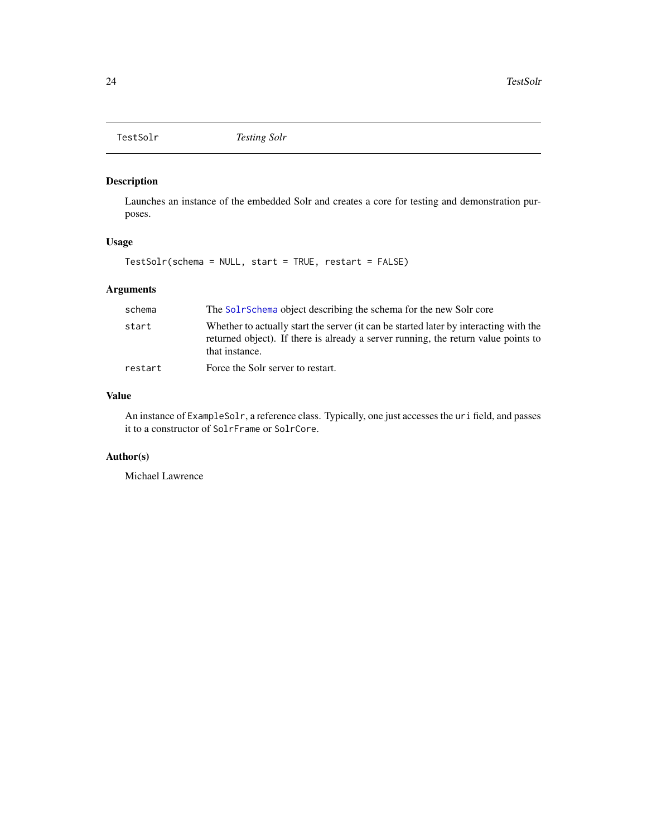<span id="page-23-0"></span>

### Description

Launches an instance of the embedded Solr and creates a core for testing and demonstration purposes.

### Usage

TestSolr(schema = NULL, start = TRUE, restart = FALSE)

### Arguments

| schema  | The Solr Schema object describing the schema for the new Solr core                                                                                                                            |
|---------|-----------------------------------------------------------------------------------------------------------------------------------------------------------------------------------------------|
| start   | Whether to actually start the server (it can be started later by interacting with the<br>returned object). If there is already a server running, the return value points to<br>that instance. |
| restart | Force the Solr server to restart.                                                                                                                                                             |

### Value

An instance of ExampleSolr, a reference class. Typically, one just accesses the uri field, and passes it to a constructor of SolrFrame or SolrCore.

### Author(s)

Michael Lawrence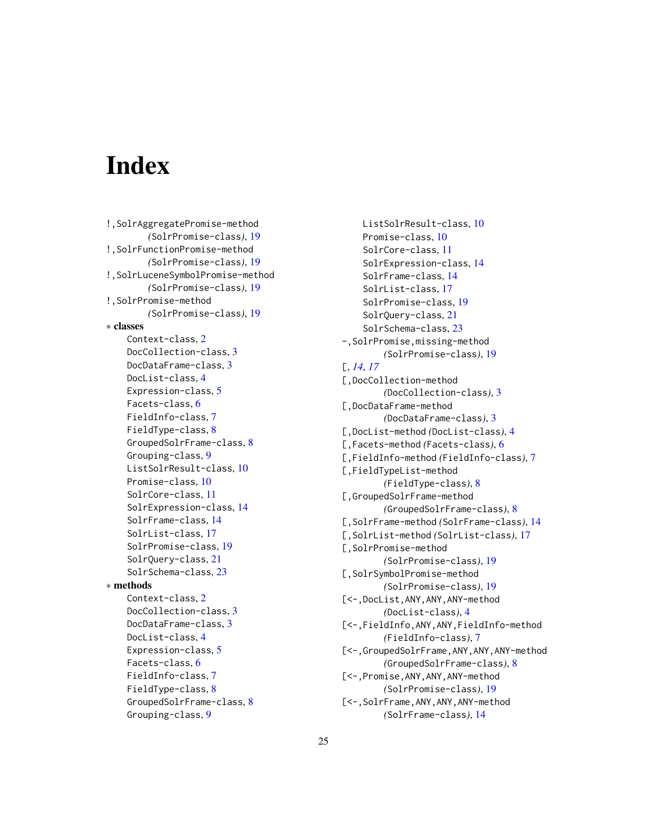# <span id="page-24-0"></span>**Index**

```
!,SolrAggregatePromise-method
        (SolrPromise-class), 19
!,SolrFunctionPromise-method
        (SolrPromise-class), 19
!,SolrLuceneSymbolPromise-method
        (SolrPromise-class), 19
!,SolrPromise-method
        (SolrPromise-class), 19
∗ classes
    Context-class, 2
    DocCollection-class, 3
    DocDataFrame-class, 3
    DocList-class, 4
    Expression-class, 5
    Facets-class, 6
    FieldInfo-class, 7
    FieldType-class, 8
    GroupedSolrFrame-class, 8
    Grouping-class, 9
    ListSolrResult-class, 10
    Promise-class, 10
    SolrCore-class, 11
    SolrExpression-class, 14
    SolrFrame-class, 14
    SolrList-class, 17
    SolrPromise-class, 19
    SolrQuery-class, 21
    SolrSchema-class, 23
∗ methods
    Context-class, 2
    DocCollection-class, 3
    DocDataFrame-class, 3
    DocList-class, 4
    Expression-class, 5
    Facets-class, 6
    FieldInfo-class, 7
    FieldType-class, 8
    GroupedSolrFrame-class, 8
    Grouping-class, 9
```
ListSolrResult-class, [10](#page-9-0) Promise-class, [10](#page-9-0) SolrCore-class, [11](#page-10-0) SolrExpression-class, [14](#page-13-0) SolrFrame-class, [14](#page-13-0) SolrList-class, [17](#page-16-0) SolrPromise-class, [19](#page-18-0) SolrQuery-class, [21](#page-20-0) SolrSchema-class, [23](#page-22-0) -,SolrPromise,missing-method *(*SolrPromise-class*)*, [19](#page-18-0) [, *[14](#page-13-0)*, *[17](#page-16-0)* [,DocCollection-method *(*DocCollection-class*)*, [3](#page-2-0) [,DocDataFrame-method *(*DocDataFrame-class*)*, [3](#page-2-0) [,DocList-method *(*DocList-class*)*, [4](#page-3-0) [,Facets-method *(*Facets-class*)*, [6](#page-5-0) [,FieldInfo-method *(*FieldInfo-class*)*, [7](#page-6-0) [,FieldTypeList-method *(*FieldType-class*)*, [8](#page-7-0) [,GroupedSolrFrame-method *(*GroupedSolrFrame-class*)*, [8](#page-7-0) [,SolrFrame-method *(*SolrFrame-class*)*, [14](#page-13-0) [,SolrList-method *(*SolrList-class*)*, [17](#page-16-0) [,SolrPromise-method *(*SolrPromise-class*)*, [19](#page-18-0) [,SolrSymbolPromise-method *(*SolrPromise-class*)*, [19](#page-18-0) [<-,DocList,ANY,ANY,ANY-method *(*DocList-class*)*, [4](#page-3-0) [<-,FieldInfo,ANY,ANY,FieldInfo-method *(*FieldInfo-class*)*, [7](#page-6-0) [<-,GroupedSolrFrame,ANY,ANY,ANY-method *(*GroupedSolrFrame-class*)*, [8](#page-7-0) [<-,Promise,ANY,ANY,ANY-method *(*SolrPromise-class*)*, [19](#page-18-0) [<-,SolrFrame,ANY,ANY,ANY-method *(*SolrFrame-class*)*, [14](#page-13-0)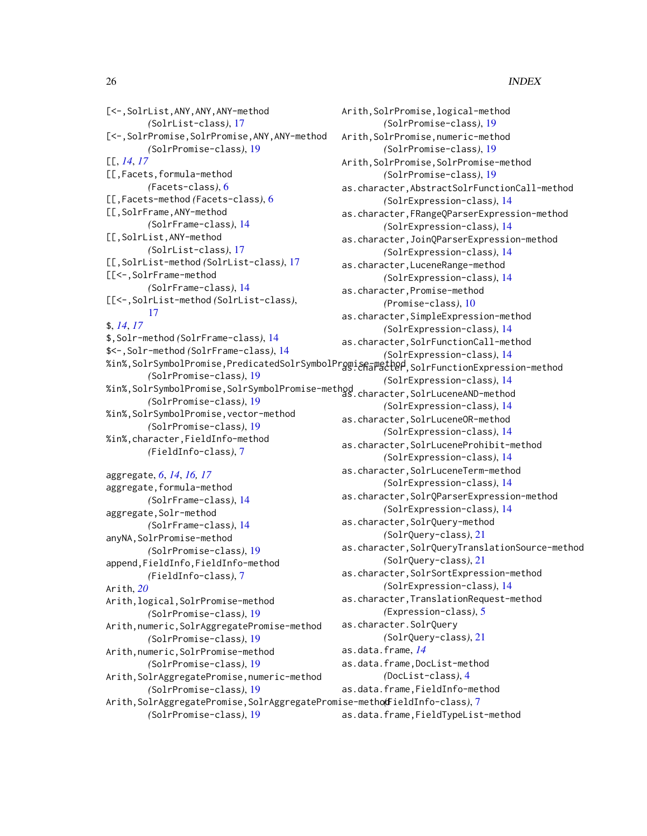[<-,SolrList,ANY,ANY,ANY-method *(*SolrList-class*)*, [17](#page-16-0) [<-,SolrPromise,SolrPromise,ANY,ANY-method *(*SolrPromise-class*)*, [19](#page-18-0) [[, *[14](#page-13-0)*, *[17](#page-16-0)* [[,Facets,formula-method *(*Facets-class*)*, [6](#page-5-0) [[,Facets-method *(*Facets-class*)*, [6](#page-5-0) [[,SolrFrame,ANY-method *(*SolrFrame-class*)*, [14](#page-13-0) [[,SolrList,ANY-method *(*SolrList-class*)*, [17](#page-16-0) [[,SolrList-method *(*SolrList-class*)*, [17](#page-16-0) [[<-,SolrFrame-method *(*SolrFrame-class*)*, [14](#page-13-0) [[<-,SolrList-method *(*SolrList-class*)*, [17](#page-16-0) \$, *[14](#page-13-0)*, *[17](#page-16-0)* \$,Solr-method *(*SolrFrame-class*)*, [14](#page-13-0) \$<-,Solr-method *(*SolrFrame-class*)*, [14](#page-13-0) %in%,SolrSymbolPromise,PredicatedSolrSymbolPromise-method as.character,SolrFunctionExpression-method *(*SolrPromise-class*)*, [19](#page-18-0) %in%,SolrSymbolPromise,SolrSymbolPromise-method as.character,SolrLuceneAND-method *(*SolrPromise-class*)*, [19](#page-18-0) %in%,SolrSymbolPromise,vector-method *(*SolrPromise-class*)*, [19](#page-18-0) %in%,character,FieldInfo-method *(*FieldInfo-class*)*, [7](#page-6-0) aggregate, *[6](#page-5-0)*, *[14](#page-13-0)*, *[16,](#page-15-0) [17](#page-16-0)*

aggregate,formula-method *(*SolrFrame-class*)*, [14](#page-13-0) aggregate,Solr-method *(*SolrFrame-class*)*, [14](#page-13-0) anyNA, SolrPromise-method *(*SolrPromise-class*)*, [19](#page-18-0) append,FieldInfo,FieldInfo-method *(*FieldInfo-class*)*, [7](#page-6-0) Arith, *[20](#page-19-0)* Arith,logical,SolrPromise-method *(*SolrPromise-class*)*, [19](#page-18-0) Arith,numeric,SolrAggregatePromise-method *(*SolrPromise-class*)*, [19](#page-18-0) Arith,numeric,SolrPromise-method *(*SolrPromise-class*)*, [19](#page-18-0) Arith,SolrAggregatePromise,numeric-method *(*SolrPromise-class*)*, [19](#page-18-0) Arith,SolrAggregatePromise,SolrAggregatePromise-method *(*FieldInfo-class*)*, [7](#page-6-0) *(*SolrPromise-class*)*, [19](#page-18-0)

Arith,SolrPromise,logical-method *(*SolrPromise-class*)*, [19](#page-18-0) Arith,SolrPromise,numeric-method *(*SolrPromise-class*)*, [19](#page-18-0) Arith,SolrPromise,SolrPromise-method *(*SolrPromise-class*)*, [19](#page-18-0) as.character,AbstractSolrFunctionCall-method *(*SolrExpression-class*)*, [14](#page-13-0) as.character,FRangeQParserExpression-method *(*SolrExpression-class*)*, [14](#page-13-0) as.character,JoinQParserExpression-method *(*SolrExpression-class*)*, [14](#page-13-0) as.character,LuceneRange-method *(*SolrExpression-class*)*, [14](#page-13-0) as.character,Promise-method *(*Promise-class*)*, [10](#page-9-0) as.character,SimpleExpression-method *(*SolrExpression-class*)*, [14](#page-13-0) as.character,SolrFunctionCall-method *(*SolrExpression-class*)*, [14](#page-13-0) *(*SolrExpression-class*)*, [14](#page-13-0) *(*SolrExpression-class*)*, [14](#page-13-0) as.character,SolrLuceneOR-method *(*SolrExpression-class*)*, [14](#page-13-0) as.character,SolrLuceneProhibit-method *(*SolrExpression-class*)*, [14](#page-13-0) as.character,SolrLuceneTerm-method *(*SolrExpression-class*)*, [14](#page-13-0) as.character,SolrQParserExpression-method *(*SolrExpression-class*)*, [14](#page-13-0) as.character,SolrQuery-method *(*SolrQuery-class*)*, [21](#page-20-0) as.character,SolrQueryTranslationSource-method *(*SolrQuery-class*)*, [21](#page-20-0) as.character,SolrSortExpression-method *(*SolrExpression-class*)*, [14](#page-13-0) as.character,TranslationRequest-method *(*Expression-class*)*, [5](#page-4-0) as.character.SolrQuery *(*SolrQuery-class*)*, [21](#page-20-0) as.data.frame, *[14](#page-13-0)* as.data.frame,DocList-method *(*DocList-class*)*, [4](#page-3-0) as.data.frame,FieldInfo-method as.data.frame,FieldTypeList-method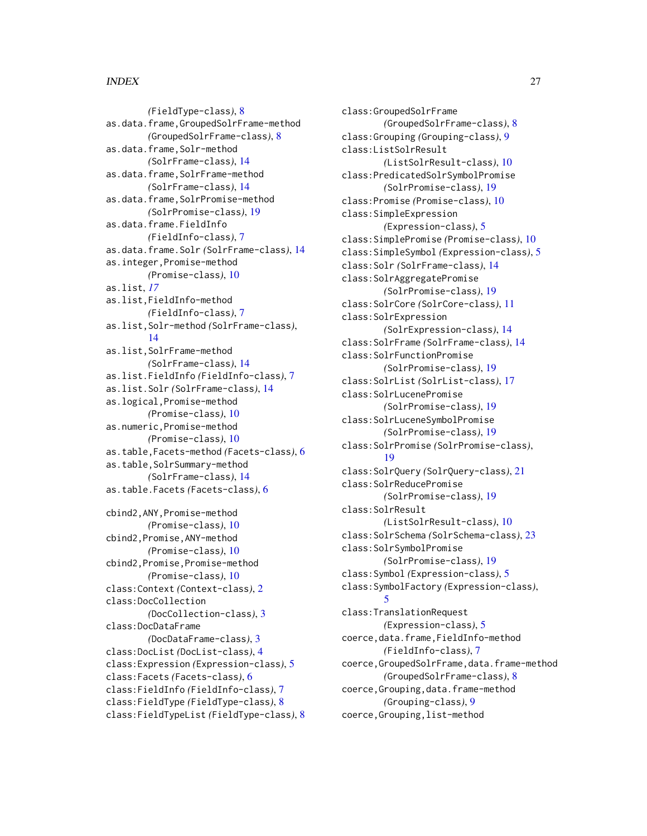*(*FieldType-class*)*, [8](#page-7-0) as.data.frame,GroupedSolrFrame-method *(*GroupedSolrFrame-class*)*, [8](#page-7-0) as.data.frame,Solr-method *(*SolrFrame-class*)*, [14](#page-13-0) as.data.frame,SolrFrame-method *(*SolrFrame-class*)*, [14](#page-13-0) as.data.frame,SolrPromise-method *(*SolrPromise-class*)*, [19](#page-18-0) as.data.frame.FieldInfo *(*FieldInfo-class*)*, [7](#page-6-0) as.data.frame.Solr *(*SolrFrame-class*)*, [14](#page-13-0) as.integer,Promise-method *(*Promise-class*)*, [10](#page-9-0) as.list, *[17](#page-16-0)* as.list,FieldInfo-method *(*FieldInfo-class*)*, [7](#page-6-0) as.list,Solr-method *(*SolrFrame-class*)*, [14](#page-13-0) as.list,SolrFrame-method *(*SolrFrame-class*)*, [14](#page-13-0) as.list.FieldInfo *(*FieldInfo-class*)*, [7](#page-6-0) as.list.Solr *(*SolrFrame-class*)*, [14](#page-13-0) as.logical,Promise-method *(*Promise-class*)*, [10](#page-9-0) as.numeric,Promise-method *(*Promise-class*)*, [10](#page-9-0) as.table,Facets-method *(*Facets-class*)*, [6](#page-5-0) as.table, SolrSummary-method *(*SolrFrame-class*)*, [14](#page-13-0) as.table.Facets *(*Facets-class*)*, [6](#page-5-0) cbind2,ANY,Promise-method *(*Promise-class*)*, [10](#page-9-0) cbind2,Promise,ANY-method *(*Promise-class*)*, [10](#page-9-0) cbind2,Promise,Promise-method *(*Promise-class*)*, [10](#page-9-0) class:Context *(*Context-class*)*, [2](#page-1-0) class:DocCollection *(*DocCollection-class*)*, [3](#page-2-0) class:DocDataFrame

*(*DocDataFrame-class*)*, [3](#page-2-0) class:DocList *(*DocList-class*)*, [4](#page-3-0) class:Expression *(*Expression-class*)*, [5](#page-4-0) class:Facets *(*Facets-class*)*, [6](#page-5-0) class:FieldInfo *(*FieldInfo-class*)*, [7](#page-6-0) class:FieldType *(*FieldType-class*)*, [8](#page-7-0) class:FieldTypeList *(*FieldType-class*)*, [8](#page-7-0) class:GroupedSolrFrame *(*GroupedSolrFrame-class*)*, [8](#page-7-0) class:Grouping *(*Grouping-class*)*, [9](#page-8-0) class:ListSolrResult *(*ListSolrResult-class*)*, [10](#page-9-0) class:PredicatedSolrSymbolPromise *(*SolrPromise-class*)*, [19](#page-18-0) class:Promise *(*Promise-class*)*, [10](#page-9-0) class:SimpleExpression *(*Expression-class*)*, [5](#page-4-0) class:SimplePromise *(*Promise-class*)*, [10](#page-9-0) class:SimpleSymbol *(*Expression-class*)*, [5](#page-4-0) class:Solr *(*SolrFrame-class*)*, [14](#page-13-0) class:SolrAggregatePromise *(*SolrPromise-class*)*, [19](#page-18-0) class:SolrCore *(*SolrCore-class*)*, [11](#page-10-0) class:SolrExpression *(*SolrExpression-class*)*, [14](#page-13-0) class:SolrFrame *(*SolrFrame-class*)*, [14](#page-13-0) class:SolrFunctionPromise *(*SolrPromise-class*)*, [19](#page-18-0) class:SolrList *(*SolrList-class*)*, [17](#page-16-0) class:SolrLucenePromise *(*SolrPromise-class*)*, [19](#page-18-0) class:SolrLuceneSymbolPromise *(*SolrPromise-class*)*, [19](#page-18-0) class:SolrPromise *(*SolrPromise-class*)*, [19](#page-18-0) class:SolrQuery *(*SolrQuery-class*)*, [21](#page-20-0) class:SolrReducePromise *(*SolrPromise-class*)*, [19](#page-18-0) class:SolrResult *(*ListSolrResult-class*)*, [10](#page-9-0) class:SolrSchema *(*SolrSchema-class*)*, [23](#page-22-0) class:SolrSymbolPromise *(*SolrPromise-class*)*, [19](#page-18-0) class:Symbol *(*Expression-class*)*, [5](#page-4-0) class:SymbolFactory *(*Expression-class*)*, [5](#page-4-0) class:TranslationRequest *(*Expression-class*)*, [5](#page-4-0) coerce,data.frame,FieldInfo-method *(*FieldInfo-class*)*, [7](#page-6-0) coerce,GroupedSolrFrame,data.frame-method *(*GroupedSolrFrame-class*)*, [8](#page-7-0) coerce,Grouping,data.frame-method *(*Grouping-class*)*, [9](#page-8-0) coerce,Grouping,list-method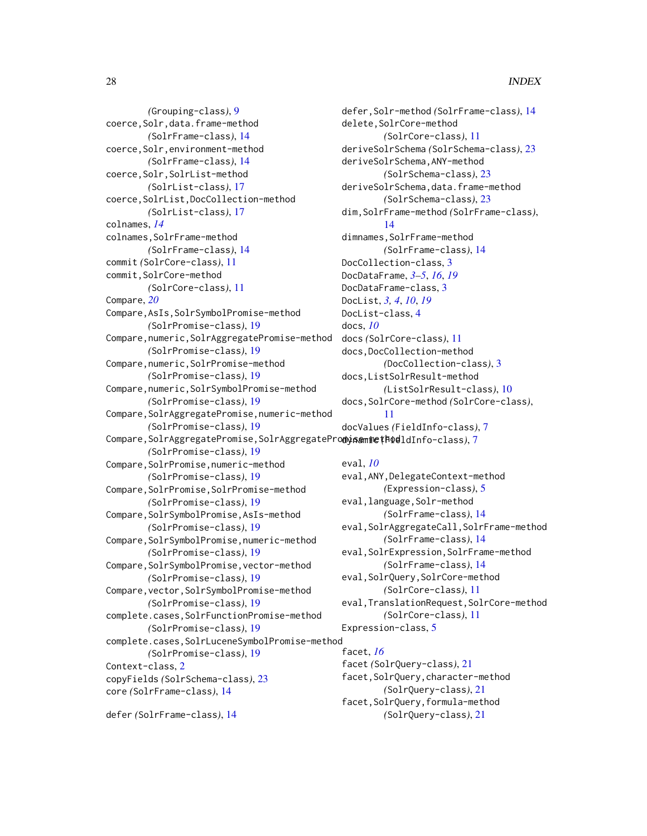*(*Grouping-class*)*, [9](#page-8-0) coerce,Solr,data.frame-method *(*SolrFrame-class*)*, [14](#page-13-0) coerce,Solr,environment-method *(*SolrFrame-class*)*, [14](#page-13-0) coerce,Solr,SolrList-method *(*SolrList-class*)*, [17](#page-16-0) coerce,SolrList,DocCollection-method *(*SolrList-class*)*, [17](#page-16-0) colnames, *[14](#page-13-0)* colnames, SolrFrame-method *(*SolrFrame-class*)*, [14](#page-13-0) commit *(*SolrCore-class*)*, [11](#page-10-0) commit, SolrCore-method *(*SolrCore-class*)*, [11](#page-10-0) Compare, *[20](#page-19-0)* Compare,AsIs,SolrSymbolPromise-method *(*SolrPromise-class*)*, [19](#page-18-0) Compare,numeric,SolrAggregatePromise-method *(*SolrPromise-class*)*, [19](#page-18-0) Compare, numeric, SolrPromise-method *(*SolrPromise-class*)*, [19](#page-18-0) Compare,numeric,SolrSymbolPromise-method *(*SolrPromise-class*)*, [19](#page-18-0) Compare, SolrAggregatePromise, numeric-method *(*SolrPromise-class*)*, [19](#page-18-0) Compare,SolrAggregatePromise,SolrAggregatePro**dysamie(Fod**ldInfo-class),[7](#page-6-0) *(*SolrPromise-class*)*, [19](#page-18-0) Compare, SolrPromise, numeric-method *(*SolrPromise-class*)*, [19](#page-18-0) Compare,SolrPromise,SolrPromise-method *(*SolrPromise-class*)*, [19](#page-18-0) Compare,SolrSymbolPromise,AsIs-method *(*SolrPromise-class*)*, [19](#page-18-0) Compare, SolrSymbolPromise, numeric-method *(*SolrPromise-class*)*, [19](#page-18-0) Compare,SolrSymbolPromise,vector-method *(*SolrPromise-class*)*, [19](#page-18-0) Compare,vector,SolrSymbolPromise-method *(*SolrPromise-class*)*, [19](#page-18-0) complete.cases,SolrFunctionPromise-method *(*SolrPromise-class*)*, [19](#page-18-0) complete.cases,SolrLuceneSymbolPromise-method *(*SolrPromise-class*)*, [19](#page-18-0) Context-class, [2](#page-1-0) copyFields *(*SolrSchema-class*)*, [23](#page-22-0) core *(*SolrFrame-class*)*, [14](#page-13-0) defer *(*SolrFrame-class*)*, [14](#page-13-0)

defer,Solr-method *(*SolrFrame-class*)*, [14](#page-13-0) delete,SolrCore-method *(*SolrCore-class*)*, [11](#page-10-0) deriveSolrSchema *(*SolrSchema-class*)*, [23](#page-22-0) deriveSolrSchema,ANY-method *(*SolrSchema-class*)*, [23](#page-22-0) deriveSolrSchema,data.frame-method *(*SolrSchema-class*)*, [23](#page-22-0) dim,SolrFrame-method *(*SolrFrame-class*)*, [14](#page-13-0) dimnames, SolrFrame-method *(*SolrFrame-class*)*, [14](#page-13-0) DocCollection-class, [3](#page-2-0) DocDataFrame, *[3](#page-2-0)[–5](#page-4-0)*, *[16](#page-15-0)*, *[19](#page-18-0)* DocDataFrame-class, [3](#page-2-0) DocList, *[3,](#page-2-0) [4](#page-3-0)*, *[10](#page-9-0)*, *[19](#page-18-0)* DocList-class, [4](#page-3-0) docs, *[10](#page-9-0)* docs *(*SolrCore-class*)*, [11](#page-10-0) docs,DocCollection-method *(*DocCollection-class*)*, [3](#page-2-0) docs,ListSolrResult-method *(*ListSolrResult-class*)*, [10](#page-9-0) docs,SolrCore-method *(*SolrCore-class*)*, [11](#page-10-0) docValues *(*FieldInfo-class*)*, [7](#page-6-0)

```
eval, 10
eval,ANY,DelegateContext-method
        (Expression-class), 5
eval, language, Solr-method
        (SolrFrame-class), 14
eval, SolrAggregateCall, SolrFrame-method
        (SolrFrame-class), 14
eval, SolrExpression, SolrFrame-method
        (SolrFrame-class), 14
eval, SolrQuery, SolrCore-method
        (SolrCore-class), 11
eval,TranslationRequest,SolrCore-method
        (SolrCore-class), 11
Expression-class, 5
```
### facet, *[16](#page-15-0)*

facet *(*SolrQuery-class*)*, [21](#page-20-0) facet,SolrQuery,character-method *(*SolrQuery-class*)*, [21](#page-20-0) facet,SolrQuery,formula-method *(*SolrQuery-class*)*, [21](#page-20-0)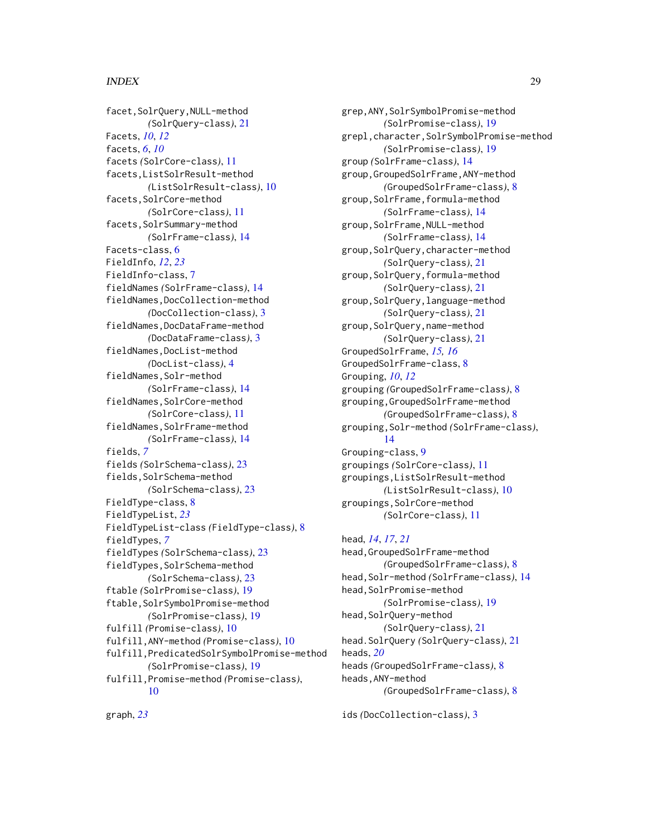graph, *[23](#page-22-0)*

facet,SolrQuery,NULL-method *(*SolrQuery-class*)*, [21](#page-20-0) Facets, *[10](#page-9-0)*, *[12](#page-11-0)* facets, *[6](#page-5-0)*, *[10](#page-9-0)* facets *(*SolrCore-class*)*, [11](#page-10-0) facets,ListSolrResult-method *(*ListSolrResult-class*)*, [10](#page-9-0) facets,SolrCore-method *(*SolrCore-class*)*, [11](#page-10-0) facets,SolrSummary-method *(*SolrFrame-class*)*, [14](#page-13-0) Facets-class, [6](#page-5-0) FieldInfo, *[12](#page-11-0)*, *[23](#page-22-0)* FieldInfo-class, [7](#page-6-0) fieldNames *(*SolrFrame-class*)*, [14](#page-13-0) fieldNames,DocCollection-method *(*DocCollection-class*)*, [3](#page-2-0) fieldNames,DocDataFrame-method *(*DocDataFrame-class*)*, [3](#page-2-0) fieldNames,DocList-method *(*DocList-class*)*, [4](#page-3-0) fieldNames,Solr-method *(*SolrFrame-class*)*, [14](#page-13-0) fieldNames,SolrCore-method *(*SolrCore-class*)*, [11](#page-10-0) fieldNames,SolrFrame-method *(*SolrFrame-class*)*, [14](#page-13-0) fields, *[7](#page-6-0)* fields *(*SolrSchema-class*)*, [23](#page-22-0) fields, SolrSchema-method *(*SolrSchema-class*)*, [23](#page-22-0) FieldType-class, [8](#page-7-0) FieldTypeList, *[23](#page-22-0)* FieldTypeList-class *(*FieldType-class*)*, [8](#page-7-0) fieldTypes, *[7](#page-6-0)* fieldTypes *(*SolrSchema-class*)*, [23](#page-22-0) fieldTypes,SolrSchema-method *(*SolrSchema-class*)*, [23](#page-22-0) ftable *(*SolrPromise-class*)*, [19](#page-18-0) ftable, SolrSymbolPromise-method *(*SolrPromise-class*)*, [19](#page-18-0) fulfill *(*Promise-class*)*, [10](#page-9-0) fulfill,ANY-method *(*Promise-class*)*, [10](#page-9-0) fulfill,PredicatedSolrSymbolPromise-method *(*SolrPromise-class*)*, [19](#page-18-0) fulfill,Promise-method *(*Promise-class*)*, [10](#page-9-0)

grep,ANY,SolrSymbolPromise-method *(*SolrPromise-class*)*, [19](#page-18-0) grepl,character,SolrSymbolPromise-method *(*SolrPromise-class*)*, [19](#page-18-0) group *(*SolrFrame-class*)*, [14](#page-13-0) group,GroupedSolrFrame,ANY-method *(*GroupedSolrFrame-class*)*, [8](#page-7-0) group,SolrFrame,formula-method *(*SolrFrame-class*)*, [14](#page-13-0) group,SolrFrame,NULL-method *(*SolrFrame-class*)*, [14](#page-13-0) group,SolrQuery,character-method *(*SolrQuery-class*)*, [21](#page-20-0) group,SolrQuery,formula-method *(*SolrQuery-class*)*, [21](#page-20-0) group,SolrQuery,language-method *(*SolrQuery-class*)*, [21](#page-20-0) group,SolrQuery,name-method *(*SolrQuery-class*)*, [21](#page-20-0) GroupedSolrFrame, *[15,](#page-14-0) [16](#page-15-0)* GroupedSolrFrame-class, [8](#page-7-0) Grouping, *[10](#page-9-0)*, *[12](#page-11-0)* grouping *(*GroupedSolrFrame-class*)*, [8](#page-7-0) grouping,GroupedSolrFrame-method *(*GroupedSolrFrame-class*)*, [8](#page-7-0) grouping,Solr-method *(*SolrFrame-class*)*, [14](#page-13-0) Grouping-class, [9](#page-8-0) groupings *(*SolrCore-class*)*, [11](#page-10-0) groupings,ListSolrResult-method *(*ListSolrResult-class*)*, [10](#page-9-0) groupings, SolrCore-method *(*SolrCore-class*)*, [11](#page-10-0)

head, *[14](#page-13-0)*, *[17](#page-16-0)*, *[21](#page-20-0)* head,GroupedSolrFrame-method *(*GroupedSolrFrame-class*)*, [8](#page-7-0) head,Solr-method *(*SolrFrame-class*)*, [14](#page-13-0) head,SolrPromise-method *(*SolrPromise-class*)*, [19](#page-18-0) head, SolrQuery-method *(*SolrQuery-class*)*, [21](#page-20-0) head.SolrQuery *(*SolrQuery-class*)*, [21](#page-20-0) heads, *[20](#page-19-0)* heads *(*GroupedSolrFrame-class*)*, [8](#page-7-0) heads,ANY-method *(*GroupedSolrFrame-class*)*, [8](#page-7-0)

ids *(*DocCollection-class*)*, [3](#page-2-0)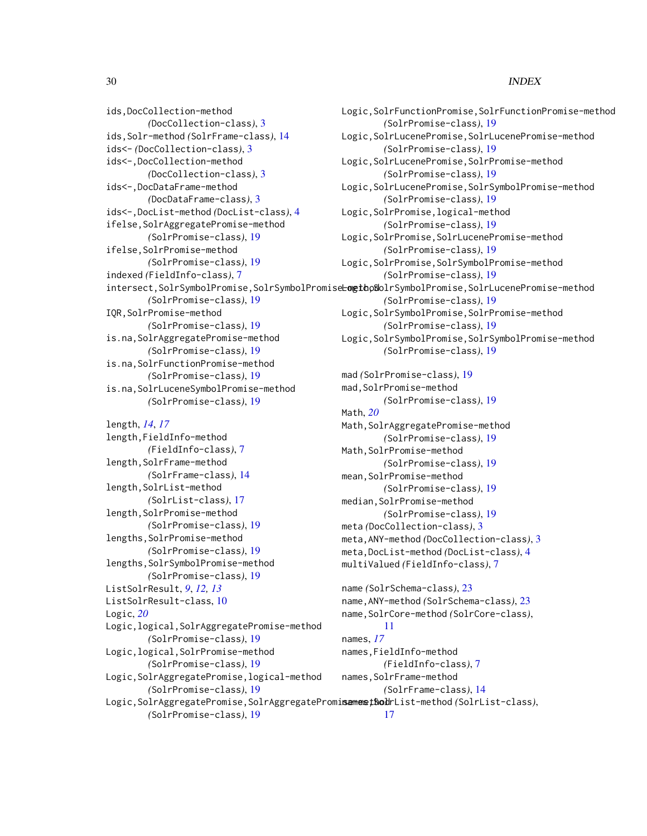ids,DocCollection-method *(*DocCollection-class*)*, [3](#page-2-0) ids,Solr-method *(*SolrFrame-class*)*, [14](#page-13-0) ids<- *(*DocCollection-class*)*, [3](#page-2-0) ids<-,DocCollection-method *(*DocCollection-class*)*, [3](#page-2-0) ids<-,DocDataFrame-method *(*DocDataFrame-class*)*, [3](#page-2-0) ids<-,DocList-method *(*DocList-class*)*, [4](#page-3-0) ifelse,SolrAggregatePromise-method *(*SolrPromise-class*)*, [19](#page-18-0) ifelse,SolrPromise-method *(*SolrPromise-class*)*, [19](#page-18-0) indexed *(*FieldInfo-class*)*, [7](#page-6-0) *(*SolrPromise-class*)*, [19](#page-18-0) IQR,SolrPromise-method *(*SolrPromise-class*)*, [19](#page-18-0) is.na,SolrAggregatePromise-method *(*SolrPromise-class*)*, [19](#page-18-0) is.na,SolrFunctionPromise-method *(*SolrPromise-class*)*, [19](#page-18-0) is.na,SolrLuceneSymbolPromise-method *(*SolrPromise-class*)*, [19](#page-18-0)

length, *[14](#page-13-0)*, *[17](#page-16-0)* length,FieldInfo-method *(*FieldInfo-class*)*, [7](#page-6-0) length,SolrFrame-method *(*SolrFrame-class*)*, [14](#page-13-0) length,SolrList-method *(*SolrList-class*)*, [17](#page-16-0) length, SolrPromise-method *(*SolrPromise-class*)*, [19](#page-18-0) lengths, SolrPromise-method *(*SolrPromise-class*)*, [19](#page-18-0) lengths, SolrSymbolPromise-method *(*SolrPromise-class*)*, [19](#page-18-0) ListSolrResult, *[9](#page-8-0)*, *[12,](#page-11-0) [13](#page-12-0)* ListSolrResult-class, [10](#page-9-0) Logic, *[20](#page-19-0)* Logic,logical,SolrAggregatePromise-method *(*SolrPromise-class*)*, [19](#page-18-0) Logic,logical,SolrPromise-method *(*SolrPromise-class*)*, [19](#page-18-0) Logic,SolrAggregatePromise,logical-method *(*SolrPromise-class*)*, [19](#page-18-0) Logic,SolrAggregatePromise,SolrAggregatePromi**samestSod**rList-method*(SolrList-class)*, *(*SolrPromise-class*)*, [19](#page-18-0)

intersect,SolrSymbolPromise,SolrSymbolPromiseLogtopSolrSymbolPromise,SolrLucenePromise-method Logic,SolrFunctionPromise,SolrFunctionPromise-method *(*SolrPromise-class*)*, [19](#page-18-0) Logic,SolrLucenePromise,SolrLucenePromise-method *(*SolrPromise-class*)*, [19](#page-18-0) Logic,SolrLucenePromise,SolrPromise-method *(*SolrPromise-class*)*, [19](#page-18-0) Logic,SolrLucenePromise,SolrSymbolPromise-method *(*SolrPromise-class*)*, [19](#page-18-0) Logic,SolrPromise,logical-method *(*SolrPromise-class*)*, [19](#page-18-0) Logic,SolrPromise,SolrLucenePromise-method *(*SolrPromise-class*)*, [19](#page-18-0) Logic,SolrPromise,SolrSymbolPromise-method *(*SolrPromise-class*)*, [19](#page-18-0) *(*SolrPromise-class*)*, [19](#page-18-0) Logic, SolrSymbolPromise, SolrPromise-method *(*SolrPromise-class*)*, [19](#page-18-0) Logic,SolrSymbolPromise,SolrSymbolPromise-method *(*SolrPromise-class*)*, [19](#page-18-0) mad *(*SolrPromise-class*)*, [19](#page-18-0) mad, SolrPromise-method *(*SolrPromise-class*)*, [19](#page-18-0) Math, *[20](#page-19-0)* Math, SolrAggregatePromise-method *(*SolrPromise-class*)*, [19](#page-18-0) Math, SolrPromise-method *(*SolrPromise-class*)*, [19](#page-18-0) mean,SolrPromise-method *(*SolrPromise-class*)*, [19](#page-18-0) median,SolrPromise-method *(*SolrPromise-class*)*, [19](#page-18-0) meta *(*DocCollection-class*)*, [3](#page-2-0) meta,ANY-method *(*DocCollection-class*)*, [3](#page-2-0) meta,DocList-method *(*DocList-class*)*, [4](#page-3-0) multiValued *(*FieldInfo-class*)*, [7](#page-6-0) name *(*SolrSchema-class*)*, [23](#page-22-0)

```
name,ANY-method (SolrSchema-class), 23
name,SolrCore-method (SolrCore-class),
        11
names, 17
names,FieldInfo-method
        (FieldInfo-class), 7
names,SolrFrame-method
        (SolrFrame-class), 14
        17
```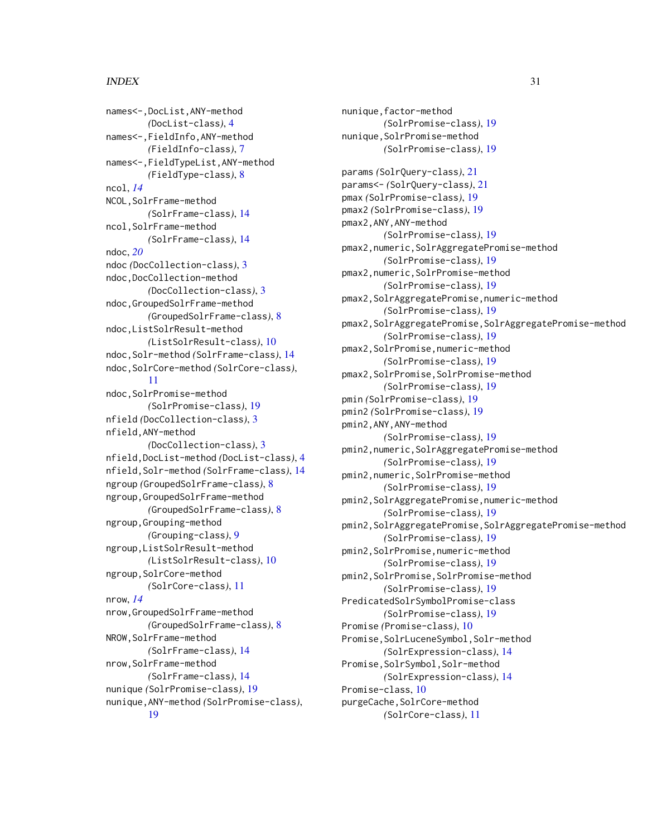names<-,DocList,ANY-method *(*DocList-class*)*, [4](#page-3-0) names<-,FieldInfo,ANY-method *(*FieldInfo-class*)*, [7](#page-6-0) names<-,FieldTypeList,ANY-method *(*FieldType-class*)*, [8](#page-7-0) ncol, *[14](#page-13-0)* NCOL,SolrFrame-method *(*SolrFrame-class*)*, [14](#page-13-0) ncol,SolrFrame-method *(*SolrFrame-class*)*, [14](#page-13-0) ndoc, *[20](#page-19-0)* ndoc *(*DocCollection-class*)*, [3](#page-2-0) ndoc,DocCollection-method *(*DocCollection-class*)*, [3](#page-2-0) ndoc,GroupedSolrFrame-method *(*GroupedSolrFrame-class*)*, [8](#page-7-0) ndoc,ListSolrResult-method *(*ListSolrResult-class*)*, [10](#page-9-0) ndoc,Solr-method *(*SolrFrame-class*)*, [14](#page-13-0) ndoc,SolrCore-method *(*SolrCore-class*)*, [11](#page-10-0) ndoc,SolrPromise-method *(*SolrPromise-class*)*, [19](#page-18-0) nfield *(*DocCollection-class*)*, [3](#page-2-0) nfield,ANY-method *(*DocCollection-class*)*, [3](#page-2-0) nfield,DocList-method *(*DocList-class*)*, [4](#page-3-0) nfield,Solr-method *(*SolrFrame-class*)*, [14](#page-13-0) ngroup *(*GroupedSolrFrame-class*)*, [8](#page-7-0) ngroup,GroupedSolrFrame-method *(*GroupedSolrFrame-class*)*, [8](#page-7-0) ngroup,Grouping-method *(*Grouping-class*)*, [9](#page-8-0) ngroup,ListSolrResult-method *(*ListSolrResult-class*)*, [10](#page-9-0) ngroup,SolrCore-method *(*SolrCore-class*)*, [11](#page-10-0) nrow, *[14](#page-13-0)* nrow,GroupedSolrFrame-method *(*GroupedSolrFrame-class*)*, [8](#page-7-0) NROW,SolrFrame-method *(*SolrFrame-class*)*, [14](#page-13-0) nrow,SolrFrame-method *(*SolrFrame-class*)*, [14](#page-13-0) nunique *(*SolrPromise-class*)*, [19](#page-18-0) nunique,ANY-method *(*SolrPromise-class*)*, [19](#page-18-0)

nunique,factor-method *(*SolrPromise-class*)*, [19](#page-18-0) nunique,SolrPromise-method *(*SolrPromise-class*)*, [19](#page-18-0) params *(*SolrQuery-class*)*, [21](#page-20-0) params<- *(*SolrQuery-class*)*, [21](#page-20-0) pmax *(*SolrPromise-class*)*, [19](#page-18-0) pmax2 *(*SolrPromise-class*)*, [19](#page-18-0) pmax2,ANY,ANY-method *(*SolrPromise-class*)*, [19](#page-18-0) pmax2,numeric,SolrAggregatePromise-method *(*SolrPromise-class*)*, [19](#page-18-0) pmax2,numeric,SolrPromise-method *(*SolrPromise-class*)*, [19](#page-18-0) pmax2,SolrAggregatePromise,numeric-method *(*SolrPromise-class*)*, [19](#page-18-0) pmax2,SolrAggregatePromise,SolrAggregatePromise-method *(*SolrPromise-class*)*, [19](#page-18-0) pmax2,SolrPromise,numeric-method *(*SolrPromise-class*)*, [19](#page-18-0) pmax2,SolrPromise,SolrPromise-method *(*SolrPromise-class*)*, [19](#page-18-0) pmin *(*SolrPromise-class*)*, [19](#page-18-0) pmin2 *(*SolrPromise-class*)*, [19](#page-18-0) pmin2,ANY,ANY-method *(*SolrPromise-class*)*, [19](#page-18-0) pmin2,numeric,SolrAggregatePromise-method *(*SolrPromise-class*)*, [19](#page-18-0) pmin2,numeric,SolrPromise-method *(*SolrPromise-class*)*, [19](#page-18-0) pmin2,SolrAggregatePromise,numeric-method *(*SolrPromise-class*)*, [19](#page-18-0) pmin2,SolrAggregatePromise,SolrAggregatePromise-method *(*SolrPromise-class*)*, [19](#page-18-0) pmin2,SolrPromise,numeric-method *(*SolrPromise-class*)*, [19](#page-18-0) pmin2,SolrPromise,SolrPromise-method *(*SolrPromise-class*)*, [19](#page-18-0) PredicatedSolrSymbolPromise-class *(*SolrPromise-class*)*, [19](#page-18-0) Promise *(*Promise-class*)*, [10](#page-9-0) Promise, SolrLuceneSymbol, Solr-method *(*SolrExpression-class*)*, [14](#page-13-0) Promise, SolrSymbol, Solr-method *(*SolrExpression-class*)*, [14](#page-13-0) Promise-class, [10](#page-9-0) purgeCache, SolrCore-method *(*SolrCore-class*)*, [11](#page-10-0)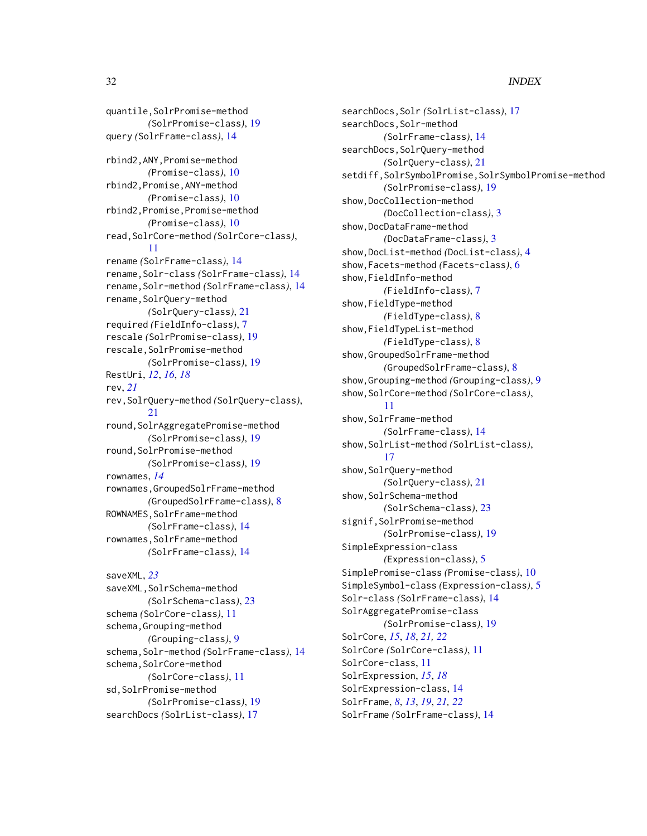quantile,SolrPromise-method *(*SolrPromise-class*)*, [19](#page-18-0) query *(*SolrFrame-class*)*, [14](#page-13-0) rbind2,ANY,Promise-method *(*Promise-class*)*, [10](#page-9-0) rbind2,Promise,ANY-method *(*Promise-class*)*, [10](#page-9-0) rbind2,Promise,Promise-method *(*Promise-class*)*, [10](#page-9-0) read,SolrCore-method *(*SolrCore-class*)*, [11](#page-10-0) rename *(*SolrFrame-class*)*, [14](#page-13-0) rename,Solr-class *(*SolrFrame-class*)*, [14](#page-13-0) rename,Solr-method *(*SolrFrame-class*)*, [14](#page-13-0) rename, SolrQuery-method *(*SolrQuery-class*)*, [21](#page-20-0) required *(*FieldInfo-class*)*, [7](#page-6-0) rescale *(*SolrPromise-class*)*, [19](#page-18-0) rescale,SolrPromise-method *(*SolrPromise-class*)*, [19](#page-18-0) RestUri, *[12](#page-11-0)*, *[16](#page-15-0)*, *[18](#page-17-0)* rev, *[21](#page-20-0)* rev,SolrQuery-method *(*SolrQuery-class*)*, [21](#page-20-0) round,SolrAggregatePromise-method *(*SolrPromise-class*)*, [19](#page-18-0) round,SolrPromise-method *(*SolrPromise-class*)*, [19](#page-18-0) rownames, *[14](#page-13-0)* rownames,GroupedSolrFrame-method *(*GroupedSolrFrame-class*)*, [8](#page-7-0) ROWNAMES, SolrFrame-method *(*SolrFrame-class*)*, [14](#page-13-0) rownames, SolrFrame-method *(*SolrFrame-class*)*, [14](#page-13-0)

```
saveXML, 23
saveXML, SolrSchema-method
        (SolrSchema-class), 23
schema (SolrCore-class), 11
schema,Grouping-method
        (Grouping-class), 9
schema,Solr-method (SolrFrame-class), 14
schema, SolrCore-method
        (SolrCore-class), 11
sd, SolrPromise-method
        (SolrPromise-class), 19
searchDocs (SolrList-class), 17
```
searchDocs,Solr *(*SolrList-class*)*, [17](#page-16-0) searchDocs, Solr-method *(*SolrFrame-class*)*, [14](#page-13-0) searchDocs, SolrQuery-method *(*SolrQuery-class*)*, [21](#page-20-0) setdiff,SolrSymbolPromise,SolrSymbolPromise-method *(*SolrPromise-class*)*, [19](#page-18-0) show,DocCollection-method *(*DocCollection-class*)*, [3](#page-2-0) show,DocDataFrame-method *(*DocDataFrame-class*)*, [3](#page-2-0) show,DocList-method *(*DocList-class*)*, [4](#page-3-0) show,Facets-method *(*Facets-class*)*, [6](#page-5-0) show,FieldInfo-method *(*FieldInfo-class*)*, [7](#page-6-0) show,FieldType-method *(*FieldType-class*)*, [8](#page-7-0) show,FieldTypeList-method *(*FieldType-class*)*, [8](#page-7-0) show,GroupedSolrFrame-method *(*GroupedSolrFrame-class*)*, [8](#page-7-0) show,Grouping-method *(*Grouping-class*)*, [9](#page-8-0) show,SolrCore-method *(*SolrCore-class*)*, [11](#page-10-0) show,SolrFrame-method *(*SolrFrame-class*)*, [14](#page-13-0) show,SolrList-method *(*SolrList-class*)*, [17](#page-16-0) show, SolrQuery-method *(*SolrQuery-class*)*, [21](#page-20-0) show, SolrSchema-method *(*SolrSchema-class*)*, [23](#page-22-0) signif,SolrPromise-method *(*SolrPromise-class*)*, [19](#page-18-0) SimpleExpression-class *(*Expression-class*)*, [5](#page-4-0) SimplePromise-class *(*Promise-class*)*, [10](#page-9-0) SimpleSymbol-class *(*Expression-class*)*, [5](#page-4-0) Solr-class *(*SolrFrame-class*)*, [14](#page-13-0) SolrAggregatePromise-class *(*SolrPromise-class*)*, [19](#page-18-0) SolrCore, *[15](#page-14-0)*, *[18](#page-17-0)*, *[21,](#page-20-0) [22](#page-21-0)* SolrCore *(*SolrCore-class*)*, [11](#page-10-0) SolrCore-class, [11](#page-10-0) SolrExpression, *[15](#page-14-0)*, *[18](#page-17-0)* SolrExpression-class, [14](#page-13-0) SolrFrame, *[8](#page-7-0)*, *[13](#page-12-0)*, *[19](#page-18-0)*, *[21,](#page-20-0) [22](#page-21-0)* SolrFrame *(*SolrFrame-class*)*, [14](#page-13-0)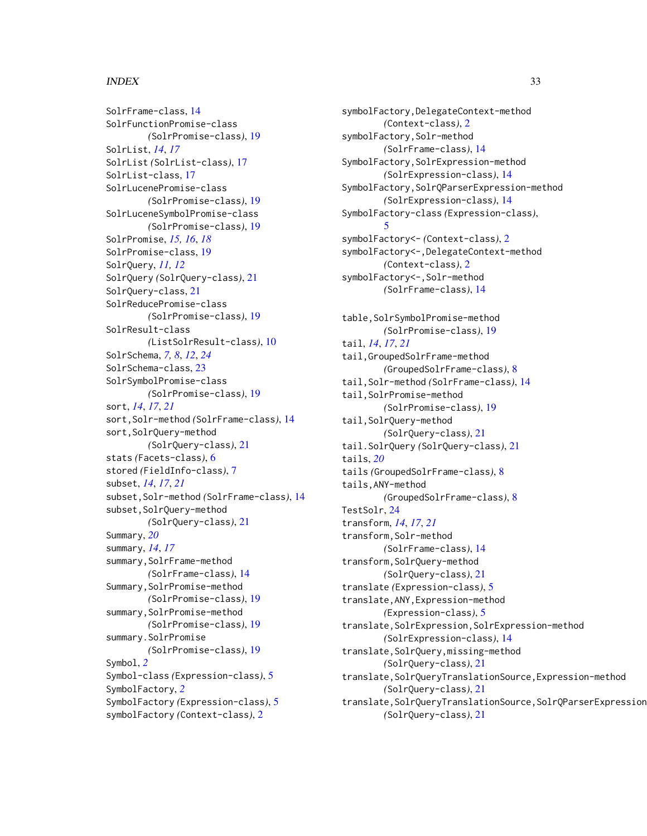### $I<sub>N</sub>DEX$  33

SolrFrame-class, [14](#page-13-0) SolrFunctionPromise-class *(*SolrPromise-class*)*, [19](#page-18-0) SolrList, *[14](#page-13-0)*, *[17](#page-16-0)* SolrList *(*SolrList-class*)*, [17](#page-16-0) SolrList-class, [17](#page-16-0) SolrLucenePromise-class *(*SolrPromise-class*)*, [19](#page-18-0) SolrLuceneSymbolPromise-class *(*SolrPromise-class*)*, [19](#page-18-0) SolrPromise, *[15,](#page-14-0) [16](#page-15-0)*, *[18](#page-17-0)* SolrPromise-class, [19](#page-18-0) SolrQuery, *[11,](#page-10-0) [12](#page-11-0)* SolrQuery *(*SolrQuery-class*)*, [21](#page-20-0) SolrQuery-class, [21](#page-20-0) SolrReducePromise-class *(*SolrPromise-class*)*, [19](#page-18-0) SolrResult-class *(*ListSolrResult-class*)*, [10](#page-9-0) SolrSchema, *[7,](#page-6-0) [8](#page-7-0)*, *[12](#page-11-0)*, *[24](#page-23-0)* SolrSchema-class, [23](#page-22-0) SolrSymbolPromise-class *(*SolrPromise-class*)*, [19](#page-18-0) sort, *[14](#page-13-0)*, *[17](#page-16-0)*, *[21](#page-20-0)* sort,Solr-method *(*SolrFrame-class*)*, [14](#page-13-0) sort,SolrQuery-method *(*SolrQuery-class*)*, [21](#page-20-0) stats *(*Facets-class*)*, [6](#page-5-0) stored *(*FieldInfo-class*)*, [7](#page-6-0) subset, *[14](#page-13-0)*, *[17](#page-16-0)*, *[21](#page-20-0)* subset,Solr-method *(*SolrFrame-class*)*, [14](#page-13-0) subset, SolrQuery-method *(*SolrQuery-class*)*, [21](#page-20-0) Summary, *[20](#page-19-0)* summary, *[14](#page-13-0)*, *[17](#page-16-0)* summary, SolrFrame-method *(*SolrFrame-class*)*, [14](#page-13-0) Summary,SolrPromise-method *(*SolrPromise-class*)*, [19](#page-18-0) summary,SolrPromise-method *(*SolrPromise-class*)*, [19](#page-18-0) summary.SolrPromise *(*SolrPromise-class*)*, [19](#page-18-0) Symbol, *[2](#page-1-0)* Symbol-class *(*Expression-class*)*, [5](#page-4-0) SymbolFactory, *[2](#page-1-0)* SymbolFactory *(*Expression-class*)*, [5](#page-4-0) symbolFactory *(*Context-class*)*, [2](#page-1-0)

symbolFactory,DelegateContext-method *(*Context-class*)*, [2](#page-1-0) symbolFactory, Solr-method *(*SolrFrame-class*)*, [14](#page-13-0) SymbolFactory,SolrExpression-method *(*SolrExpression-class*)*, [14](#page-13-0) SymbolFactory,SolrQParserExpression-method *(*SolrExpression-class*)*, [14](#page-13-0) SymbolFactory-class *(*Expression-class*)*, [5](#page-4-0) symbolFactory<- *(*Context-class*)*, [2](#page-1-0) symbolFactory<-,DelegateContext-method *(*Context-class*)*, [2](#page-1-0) symbolFactory<-,Solr-method *(*SolrFrame-class*)*, [14](#page-13-0) table,SolrSymbolPromise-method *(*SolrPromise-class*)*, [19](#page-18-0) tail, *[14](#page-13-0)*, *[17](#page-16-0)*, *[21](#page-20-0)* tail,GroupedSolrFrame-method *(*GroupedSolrFrame-class*)*, [8](#page-7-0) tail,Solr-method *(*SolrFrame-class*)*, [14](#page-13-0) tail,SolrPromise-method *(*SolrPromise-class*)*, [19](#page-18-0) tail,SolrQuery-method *(*SolrQuery-class*)*, [21](#page-20-0) tail.SolrQuery *(*SolrQuery-class*)*, [21](#page-20-0) tails, *[20](#page-19-0)* tails *(*GroupedSolrFrame-class*)*, [8](#page-7-0) tails,ANY-method *(*GroupedSolrFrame-class*)*, [8](#page-7-0) TestSolr, [24](#page-23-0) transform, *[14](#page-13-0)*, *[17](#page-16-0)*, *[21](#page-20-0)* transform,Solr-method *(*SolrFrame-class*)*, [14](#page-13-0) transform,SolrQuery-method *(*SolrQuery-class*)*, [21](#page-20-0) translate *(*Expression-class*)*, [5](#page-4-0) translate,ANY,Expression-method *(*Expression-class*)*, [5](#page-4-0) translate,SolrExpression,SolrExpression-method *(*SolrExpression-class*)*, [14](#page-13-0) translate,SolrQuery,missing-method *(*SolrQuery-class*)*, [21](#page-20-0) translate,SolrQueryTranslationSource,Expression-method *(*SolrQuery-class*)*, [21](#page-20-0) translate,SolrQueryTranslationSource,SolrQParserExpression *(*SolrQuery-class*)*, [21](#page-20-0)